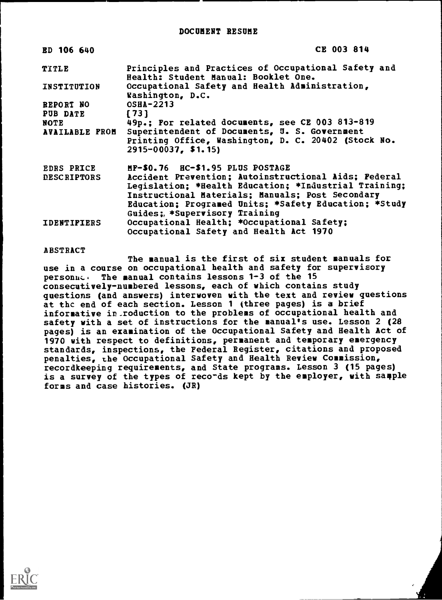| <b>ED 106 640</b>     | CE 003 814                                                                                                                                                                                                                                                  |
|-----------------------|-------------------------------------------------------------------------------------------------------------------------------------------------------------------------------------------------------------------------------------------------------------|
| <b>TITLE</b>          | Principles and Practices of Occupational Safety and<br>Health: Student Manual: Booklet One.                                                                                                                                                                 |
| INSTITUTION           | Occupational Safety and Health Administration,<br>Washington, D.C.                                                                                                                                                                                          |
| <b>REPORT NO</b>      | <b>OSHA-2213</b>                                                                                                                                                                                                                                            |
| PUB DATE              | [73]                                                                                                                                                                                                                                                        |
| <b>NOTE</b>           | 49p.; For related documents, see CE 003 813-819                                                                                                                                                                                                             |
| <b>AVAILABLE PROM</b> | Superintendent of Documents, U. S. Government<br>Printing Office, Washington, D. C. 20402 (Stock No.<br>$2915 - 00037$ , \$1.15)                                                                                                                            |
| <b>EDRS PRICE</b>     | $HP-50.76$ $HC-51.95$ PLUS POSTAGE                                                                                                                                                                                                                          |
| <b>DESCRIPTORS</b>    | Accident Prevention; Autoinstructional Aids; Federal<br>Leqislation: *Health Education; *Industrial Training;<br>Instructional Materials; Manuals; Post Secondary<br>Education; Programed Units; *Safety Education; *Study<br>Guides: *Supervisory Training |
| <b>IDENTIPIERS</b>    | Occupational Health; *Occupational Safety;<br>Occupational Safety and Health Act 1970                                                                                                                                                                       |

#### ABSTRACT

The manual is the first of six student manuals for use in a course on occupational health and safety for supervisory personal. The manual contains lessons 1-3 of the 15 consecutively-numbered lessons, each of which contains study questions (and answers) interwoven with the text and review questions at the end of each section. Lesson 1 (three pages) is a brief informative in roduction to the problems of occupational health and safety with a set of instructions for the manual's use. Lesson 2 (28 pages) is an examination of the Occupational Safety and Health Act of 1970 with respect to definitions, permanent and temporary emergency standards, inspections, the Federal Register, citations and proposed penalties, the Occupational Safety and Health Review Commission, recordkeeping requirements, and State programs. Lesson 3 (15 pages) is a survey of the types of reco-ds kept by the employer, with sample forms and case histories. (JR)

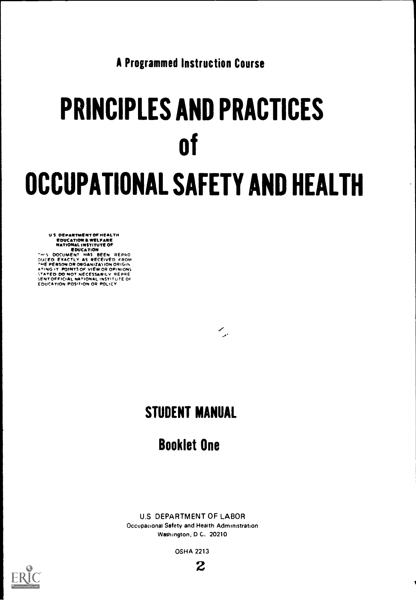## A Programmed Instruction Course

# PRINCIPLES AND PRACTICES of OCCUPATIONAL SAFETY AND HEALTH

U S DEPARTMENT OF HEALTH EDUCATION & WELFARE<br>NATIONAL INSTITUTE OF **MATIONIAL INSTITUTE OF<br>THIS DOCUMENT HAS BEEN REPROM<br>DUCED EXACTLY AS RECEIVED FROM<br>THE PERSON OR ORGANIZATION ORIGIN<br>THE PERSON OR ORGANIZATION ORIGINS<br>SENTOFFICIAL NATIONAL INSTITUTE OF<br>SENTOFFICIAL NATIONAL INSTITUTE O** EDUCATION POSITION OR POLICY

## STUDENT MANUAL

بالمحم

## Booklet One

U.S DEPARTMENT OF LABOR Occupacional Safety and Health Administration Washington, D C. 20210

OSHA 2213

2

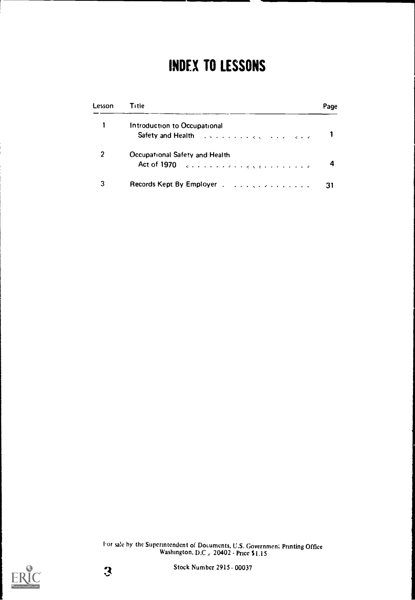# INDEX TO LESSONS

| Lesson | Title                                                                                               | Page |
|--------|-----------------------------------------------------------------------------------------------------|------|
|        | Introduction to Occupational<br>Safety and Health $\cdots$ , $\cdots$ , $\cdots$                    |      |
| 2      | Occupational Safety and Health<br>Act of 1970 <b>Action Act</b> of 1970 <b>Act</b> of $\frac{1}{2}$ | 4    |
| 3      | Records Kept By Employer                                                                            | 31   |

For sale by the Superintendent of Documents, U.S. Government Printing Office<br>Washington, D.C., 20402 - Price \$1.15



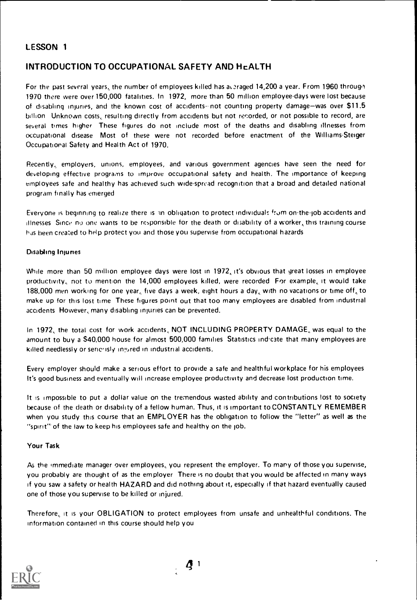#### LESSON 1

#### INTRODUCTION TO OCCUPATIONAL SAFETY AND HcALTH

For the past several years, the number of employees killed has averaged 14,200 a year. From 1960 through 1970 there were over 150,000 fatalities. In 1972, more than 50 million employee-days were lost because of disabling injuries, and the known cost of accidents-inot counting property damage-was over \$11.5 billion. Unknown costs, resulting directly from accidents but not recorded, or not possible to record, are several times higher These figures do not include most of the deaths and disabling illnesses from occupational disease Most of these were not recorded before enactment of the Williams-Steiger Occupatioral Safety and Health Act of 1970.

Recently, employers, unions, employees, and various government agencies have seen the need for developing effective programs to improve occupational safety and health. The importance of keeping employees safe and healthy has achieved such wide-spread recognition that a broad and detailed national program finally has emerged

Everyone is beginning to realize there is an obligation to protect individuals from on-the-job accidents and illnesses Since no one wants to be responsible for the death or disability of a worker, this training course has been created to help protect you and those you supervise from occupational hazards

#### Disabling Injuries

While more than 50 million employee days were lost in 1972, it's obvious that great losses in employee productivity, not to mention the 14,000 employees killed, were recorded. For example, it would take 188,000 men working for one year, five days a week, eight hours a day, with no vacations or time off, to make up for this lost time These figures point out that too many employees are disabled from industrial accidents However, many disabling injuries can be prevented.

In 1972, the total cost for work accidents, NOT INCLUDING PROPERTY DAMAGE, was equal to the amount to buy a \$40,000 house for almost 500,000 families Statistics ind'cate that many employees are killed needlessly or seric-isly imured in industrial accidents.

Every employer should make a serious effort to provide a safe and healthful workplace for his employees It's good business and eventually will increase employee productivity and decrease lost production time.

It is impossible to put a dollar value on the tremendous wasted ability and contributions lost to society because of the death or disability of a fellow human. Thus, it is important to CONSTANTLY REMEMBER when you study this course that an EMPLOYER has the obligation to follow the "letter" as well as the "spirit" of the law to keep his employees safe and healthy on the job.

#### Your Task

As the immediate manager over employees, you represent the employer. To many of those you supervise, you probably are thought of as the employer There is no doubt that you would be affected in many ways if you saw a safety or health HAZARD and did nothing about it, especially if that hazard eventually caused one of those you supervise to be killed or injured.

Therefore, it is your OBLIGATION to protect employees from unsafe and unhealthful conditions. The information contained in this course should help you



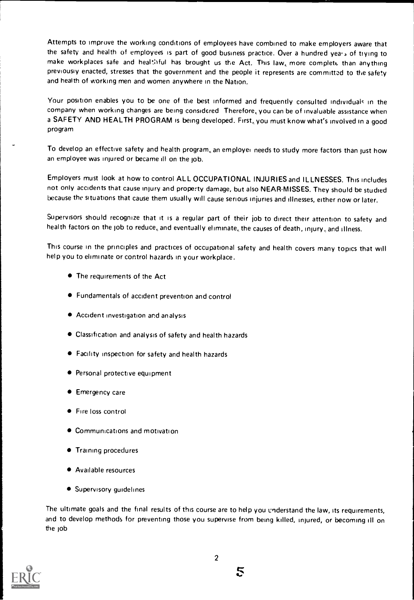Attempts to improve the working conditions of employees have combined to make employers aware that the safety and health of employees is part of good business practice. Over a hundred yea... of trying to make workplaces safe and healthful has brought us the Act. This law, more complete than anything previously enacted, stresses that the government and the people it represents are committed to the safety and health of working men and women anywhere in the Nation.

Your position enables you to be one of the best informed and frequently consulted individuals in the company when working changes are being considered Therefore, you can be of invaluable assistance when a SAFETY AND HEALTH PROGRAM is being developed. First, you must know what's involved in a good program

To develop an effective safety and health program, an employer needs to study more factors than just how an employee was injured or became ill on the job.

Employers must look at how to control ALL OCCUPATIONAL INJURIES and ILLNESSES. This includes not only accidents that cause injury and property damage, but also NEAR-MISSES. They should be studied because the situations that cause them usually will cause serious injuries and illnesses, either now or later.

Supervisors should recognize that it is a regular part of their job to direct their attention to safety and health factors on the job to reduce, and eventually eliminate, the causes of death, injury, and illness.

This course in the principles and practices of occupational safety and health covers many topics that will help you to eliminate or control hazards in your workplace.

- The requirements of the Act
- Fundamentals of accident prevention and control
- Accident investigation and analysis
- Classification and analysis of safety and health hazards
- Facility inspection for safety and health hazards
- **•** Personal protective equipment
- **Emergency care**
- Fire loss control
- Communications and motivation
- **Training procedures**
- Available resources
- Supervisory guidelines

The ultimate goals and the final results of this course are to help you understand the law, its requirements, and to develop methods for preventing those you supervise from being killed, injured, or becoming ill on the job

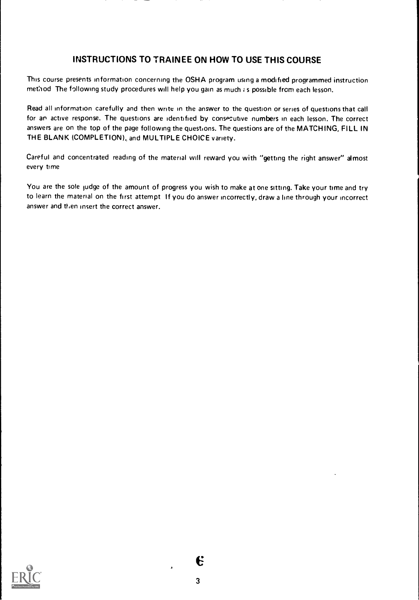#### INSTRUCTIONS TO TRAINEE ON HOW TO USE THIS COURSE

This course presents information concerning the OSHA program using a modified programmed instruction method The following study procedures will help you gain as much as possible from each lesson.

Read all information carefully and then write in the answer to the question or series of questions that call for an active response. The questions are identified by consecutive numbers in each lesson. The correct answers are on the top of the page following the questions. The questions are of the MATCHING, FILL IN THE BLANK (COMPLETION), and MULTIPLE CHOICE variety.

Careful and concentrated reading of the material will reward you with "getting the right answer" almost every time

You are the sole judge of the amount of progress you wish to make at one sitting. Take your time and try to learn the material on the first attempt If you do answer incorrectly, draw a line through your incorrect answer and then insert the correct answer.

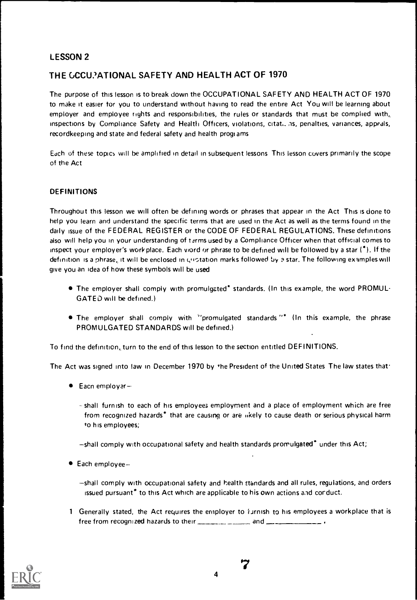#### LESSON 2

#### THE GCCU. ATIONAL SAFETY AND HEALTH ACT OF 1970

The purpose of this lesson is to break down the OCCUPATIONAL SAFETY AND HEALTH ACT OF 1970 to make it easier for you to understand without having to read the entire Act You will be learning about employer and employee rights and responsibilities, the rules or standards that must be complied with,, inspections by Compliance Safety and Health Officers, violations, citat.. as, penalties, variances, appeals, recordkeeping and state and federal safety and health programs

Each of these topics will be amplified in detail in subsequent lessons This lesson covers primarily the scope of the Act

#### DEFINITIONS

Throughout this lesson we will often be defining words or phrases that appear in the Act This is done to help you learn and understand the specific terms that are used in the Act as well as the terms found in the daily issue of the FEDERAL REGISTER or the CODE OF FEDERAL REGULATIONS. These definitions also will help you in your understanding of terms used by a Compliance Officer when that official comes to inspect your employer's work place. Each word or phrase to be defined will be followed by a star  $(*)$ . If the definition is a phrase, it will be enclosed in quotation marks followed by a star. The following examples will give you an idea of how these symbols will be used

- The employer shall comply with promulgated\* standards. (In this example, the word PROMUL-GATED will be defined.)
- The employer shall comply with "promulgated standards"\* (In this example, the phrase PROMULGATED STANDARDS will be defined.)

To find the definition, turn to the end of this lesson to the section entitled DEFINITIONS.

The Act was signed into law in December 1970 by the President of the United States The law states that

- $\bullet$  Eacn employer
	- shall furnish to each of his employees employment and a place of employment which are free from recognized hazards\* that are causing or are likely to cause death or serious physical harm to his employees;

 $-$ shall comply with occupational safety and health standards promulgated\* under this Act;

 $\bullet$  Each employee  $-$ 

-shall comply with occupational safety and health standards and all rules, regulations, and orders issued pursuant\* to this Act which are applicable to his own actions aid corduct.

1 Generally stated, the Act requires the employer to furnish to his employees a workplace that is free from recognized hazards to their  $\frac{1}{2}$  and  $\frac{1}{2}$  and  $\frac{1}{2}$   $\frac{1}{2}$   $\frac{1}{2}$   $\frac{1}{2}$   $\frac{1}{2}$   $\frac{1}{2}$   $\frac{1}{2}$ 

7

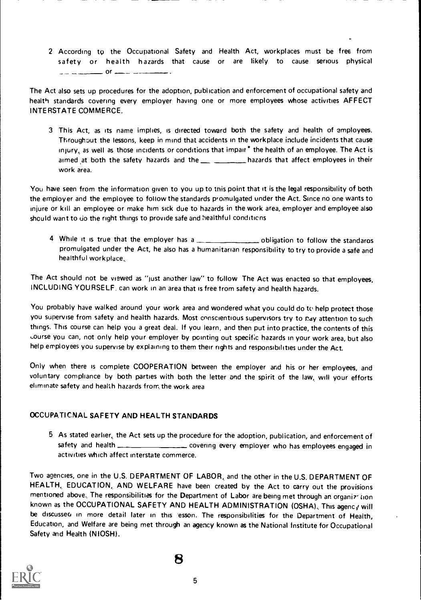2 According to the Occupational Safety and Health Act, workplaces must be free from safety or health hazards that cause or are likely to cause serious physical . or .

The Act also sets up procedures for the adoption, publication and enforcement of occupational safety and health standards covering every employer having one or more employees whose activities AFFECT INTERSTATE COMMERCE.

3 This Act, as its name implies, is directed toward both the safety and health of employees. Throughout the lessons, keep in mind that accidents in the workplace include incidents that cause injury as well as those incidents or conditions that impair the health of an employee. The Act is aimed at both the safety hazards and the  $\mu$   $\mu$  hazards that affect employees in their work area.

You have seen from the information given to you up to this point that it is the legal responsibility of both the employer and the employee to follow the standards p'ocnulgated under the Act. Since no one wants to injure or kill an employee or make him sick due to hazards in the work area, employer and employee also should want to do the right things to provide safe and healthful conditions

4 While it is true that the employer has a  $\sim$   $\sim$   $\sim$   $\sim$   $\sim$   $\sim$  obligation to follow the standards promulgated under the Act, he also has a humanitarian responsibility to try to provide a safe and healthful workplace.

The Act should not be viewed as "just another law" to follow The Act was enacted so that employees, INCLUDING YOURSELF, can work in an area that is free from safety and health hazards.

You probably have walked around your work area and wondered what you could do to help protect those you supervise from safety and health hazards. Most conscientious supervisors try to pay attention to such things. This course can help you a great deal. If you learn, and then put into practice, the contents of this ..curse you can, not only help your employer by pointing out specific hazards in your work area, but also help employees you supervise by explaining to them their rights and responsibilities under the Act.

Only when there is complete COOPERATION between the employer and his or her employees, and voluntary compliance by both parties with both the letter and the spirit of the law, will your efforts eliminate safety and health hazards from, the work area

#### OCCUPATIONAL SAFETY AND HEALTH STANDARDS

5 As stated earlier, the Act sets up the procedure for the adoption, publication, and enforcement of safety and health \_\_\_\_\_\_\_\_\_\_\_\_\_\_\_\_\_\_\_ covering every employer who has employees engaged in activities which affect interstate commerce.

Two agencies, one in the U.S. DEPARTMENT OF LABOR, and the other in the U.S. DEPARTMENT OF HEALTH, EDUCATION, AND WELFARE have been created by the Act to carry out the provisions mentioned above. The responsibilities for the Department of Labor are being met through an organiz tion known as the OCCUPATIONAL SAFETY AND HEALTH ADMINISTRATION (OSHA). This agency will be discussed in more detail later in this 'esson. The responsibilities for the Department of Health, Education, and Welfare are being met through an agency known as the National Institute for Occupational Safety and Health (NIOSH).



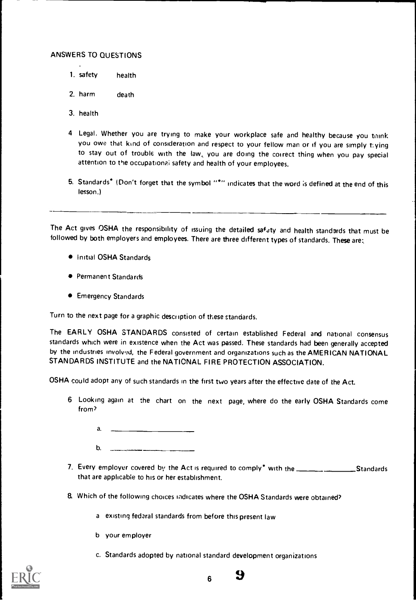- 1. safety health
- 2. harm death
- 3. health
- 4 Legal. Whether you are trying to make your workplace safe and healthy because you tnink you owe that kind of consideration and respect to your fellow man or if you are simply tiying to stay out of trouble with the law, you are doing the correct thing when you pay special attention to the occupational safety and health of your employees.
- 5. Standards\* (Don't forget that the symbol "\*" indicates that the word is definedat the end of this lesson.)

The Act gives OSHA the responsibility of issuing the detailed safety and health standards that must be followed by both employers and employees. There are three different types of standards. These are:

- Initial OSHA Standards
- Permanent Standards
- Emergency Standards

Turn to the next page for a graphic description of these standards.

The EARLY OSHA STANDARDS consisted of certain established Federal and national consensus standards which were in existence when the Act was passed. These standards had been generally accepted by the industries involved, the Federal government and organizations such as the AMERICAN NATIONAL STANDARDS INSTITUTE and the NATIONAL FIRE PROTECTION ASSOCIATION.

OSHA could adopt any of such standards in the first two years after the effective date of the Act.

- 6 Looking again at the chart on the next page, where do the early OSHA Standards come from?
	- a.
	- $\mathbf{b}$ .
- 7. Every employer covered by the Act is required to comply\* with the  $\text{Standards}$ that are applicable to his or her establishment.
- 8. Which of the following choices indicates where the OSHA Standards were obtained?
	- <sup>a</sup> existing fedaral standards from before this present law
	- b your employer
	- c. Standards adopted by national standard development organizations

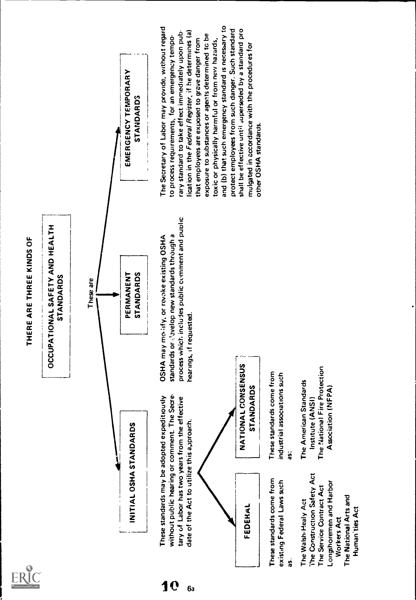

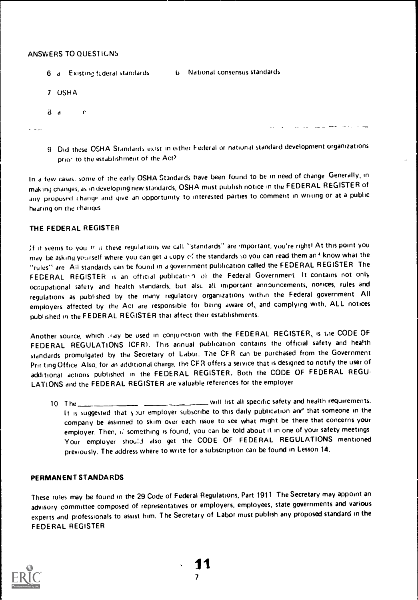- 6 <sup>a</sup>Existino fLderal standards
- b National consensus standards

- 7 OSHA
- $8d$  c
- $\cdot$   $\cdot$   $\cdot$
- 9 Did these OSHA Standards exist in either federal or national standard development organizations prior to the establishment of the Act?

In a few cases, some of the early OSHA Standards have been found to be in need of change. Generally, in making changes, as in developing new standards, OSHA must publish notice in the FEDERAL REGISTER of any proposed change and give an opportunity to interested parties to comment in writing or at a public hearing on the changes

#### THE FEDERAL REGISTER

If it seems to you muc these regulations we call "standards" are important, you're right! At this point you may be asking yourself where you can get a copy of the standards 3o you can read them an' know what the "rules" are All standards can be found in a government publication called the FEDERAL REGISTER. The FEDERAL REGISTER is an official publication of the Federal Government. It contains not only. occupational safety and health standards, but also all important announcements, notices, rules and regulations as published by the many regulatory organizations within the Federal government All employers affected by the Act are responsible for being aware of, and complying with, ALL notices published in the FEDERAL REGISTER that affect their establishments.

Another source, which nay be used in conjunction with the FEDERAL REGISTER, is toe CODE OF FEDERAL REGULATIONS (CFR). This annual publication contains the official safety and health standards promulgated by the Secretary of Labor. The CF R can be purchased from the Government Prir ting Office Also, for an additional charge, the CFR offers a service that is designed to notify the user of additional actions published in the FEDERAL REGISTER. Both the CODE OF FEDERAL REGU-LATIONS and the FEDERAL REGISTER are valuable references for the employer

10 The will list all specific safety and health requirements. It is suggested that your employer subscribe to this daily publication and that someone in the company be assinned to skim over each issue to see what might be there that concerns your employer. Then, it something is found, you can be told about it in one of your safety meetings Your employer should also get the CODE OF FEDERAL REGULATIONS mentioned previously. The address where to write for a subscription can be found in Lesson 14.

#### PERMANENT STANDARDS

These rules may be found in the 29 Code of Federal Regulations, Part 1911 The Secretary may appoint an advisory committee composed of representatives or employers, employees, state governments and various experts and professionals to assist him. The Secretary of Labor must publish any proposed standard in the FEDERAL REGISTER

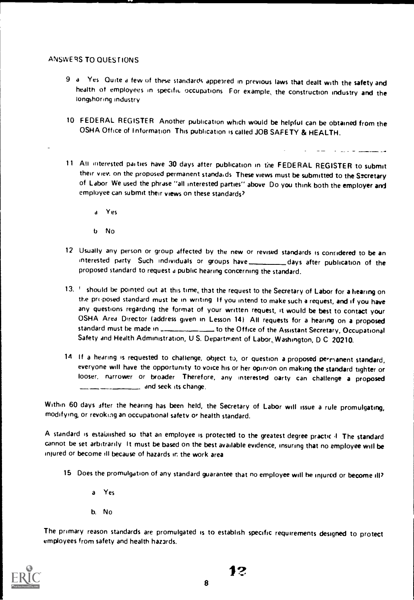- 9 a Yes Quite d few of these standards appeared in previous laws that dealt with the safety and health of employees in specific occupations. For example, the construction industry and the Iongshor mg industry
- 10 FEDERAL REGISTER Another publication which would be helpful can be obtained from the OSHA Office of Information This publication is called JOB SAFETY & HEALTH.

- 11 All interested parties have 30 days after publication in the FEDERAL REGISTER to submit their view, on the proposed permanent standards. These views must be submitted to the Secretary of Labor We used the phrase "all interested parties" above Do you think both the employer and employee can submit their views on these standards'
	- d Yes
	- b No
- <sup>12</sup> Usually any person or group affected by the new or revised standards is considered to be an interested party. Such individuals or groups have \_\_\_\_\_\_\_\_\_\_ days after publication of the proposed standard to request d public hearing concerning the standard.
- 13. ' should be pointed out at this time, that the request to the Secretary of Labor for a hearing on the proposed standard must be in writing. If you intend to make such a request, and if you have any questions regarding the format of your written request, it would be best to contact your OSHA Area Director (address given in Lesson 14) All requests for a hearing on a proposed standard must be made in **the Commission of the Office of the Assistant Secretary, Occupational** Safety and Health Administration, U.S. Department of Labor, Washington, D.C. 20210.
- 14 If a hearing is requested to challenge, object to, or question a proposed permanent standard, everyone will have the opportunity to voice his or her opinion on making the standard tighter or looser, narrower or broader Therefore, any interested oarty can challenge a proposed  $\frac{1}{2}$  and seek its change.

Within 60 days after the hearing has been held, the Secretary of Labor will issue a rule promulgating, modifying, or revoking an occupational safety or health standard.

A standard is established so that an employee is protected to the greatest degree practic 4. The standard cannot be set arbitrarily It must be based on the best available evidence, insuring that no employee will be injured or become ill because of hazards in the work area

- 15 Does the promulgation of any standard guarantee that no employee will he injured or become ill'
	- a Yes
	- b. No

The primary reason standards are promulgated is to establish specific requirements designed to protect employees from safety and health hazards.



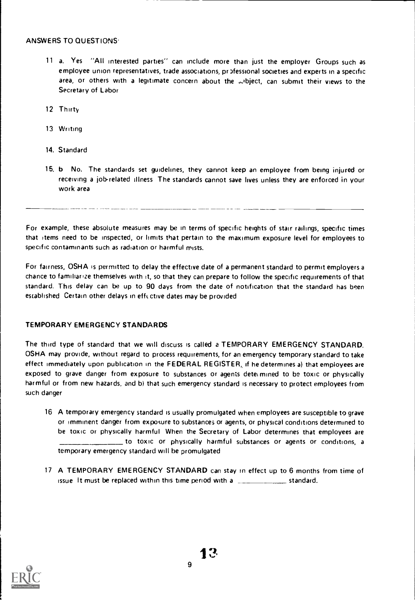- <sup>11</sup> a.Yes "All interested parties" can include more than just the employer Groups such as employee union representatives, trade associations, pr3fessional societies and experts in a specific area, or others with a legitimate concern about the utbject, can submit their views to the Secretary of Labor
- 12 Thirty
- 13 Writing
- 14. Standard
- 15. b No. The standards set guidelines, they cannot keep an employee from being injured or receiving a job-related illness The standards cannot save lives unless they are enforced in your work area

For example, these absolute measures may be in terms of specific heights of stair railings, specific times that items need to be inspected, or limits that pertain to the maximum exposure level for employees to specific contaminants such as radiation or harmful mists.

For fairness, OSHA is permitted to delay the effective date of a permanent standard to permit employers a chance to familiarize themselves with it, so that they can prepare to follow the specific requirements of that standard. This delay can be up to 90 days from the date of notification that the standard has been established. Certain other delays in effective dates may be provided.

#### TEMPORARY EMERGENCY STANDARDS

The third type of standard that we will discuss is called a TEMPORARY EMERGENCY STANDARD. OSHA may provide, without regard to process requirements, for an emergency temporary standard to take effect immediately upon publication in the FEDERAL REGISTER,, if he determines a) that employees are exposed to grave danger from exposure to substances or agents detei mined to be toxic or physically harmful or from new hazards, and b) that such emergency standard is necessary to protect employees from such danger

- 16 A temporary emergency standard is usually promulgated when employees are susceptible to grave or imminent danger from exposure to substances or agents, or physical conditions determined to be toxic or physically harmful When the Secretary of Labor determines that employees are \_\_\_ to toxic or physically harmful substances or agents or conditions, a temporary emergency standard will be promulgated
- 17 A TEMPORARY EMERGENCY STANDARD can stay in effect up to 6 months from time of issue It must be replaced within this time period with a standard.



 $\mathbf{Q}$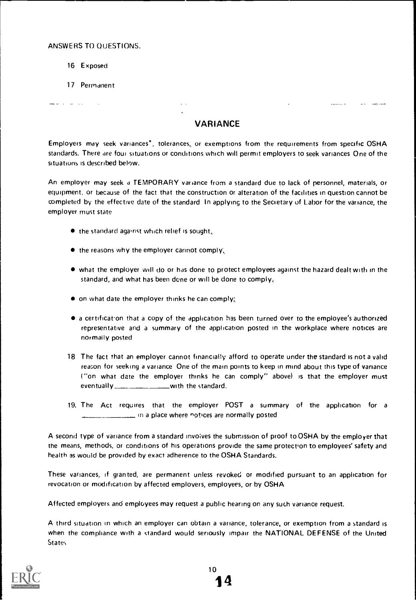- 16 Exposed
- 17 Permanent

المناول المتابعة المتوسط

#### VARIANCE

 $\frac{1}{2}$ 

للمرارضة أأردت

Employers may seek variances<sup>\*</sup>, tolerances, or exemptions from the requirements from specific OSHA standards. There are foul situations or conditions which will permit employers to seek variances One of the situations is described below.

An employer may seek a TEMPORARY variance from a standard due to lack of personnel, materials, or equipment, or because of the fact that the construction or alteration of the facilities in question cannot be completed by the effective date of the standard In applying to the Secietary of Labor for the variance, the employer must state

- $\bullet$  the standard against which relief is sought,
- $\bullet$  the reasons why the employer cannot comply.
- what the employer will do or has done to protect employees against the hazard dealt with in the standard, and what has been done or will be done to comply $_{\rm c}$
- $\bullet$  on what date the employer thinks he can comply;
- $\bullet$  a certification that a copy of the application has been turned over to the employee's authorized representative and a summary of the application posted in the workplace where notices are normally posted
- 18 The fact that an employer cannot financially afford to operate under the standard is not a valid reason for seeking a variance One of the main points to keep in mind about this type of variance ("on what date the employer thinks he can comply" above) is that the employer must eventually  $\frac{1}{2}$  =  $\frac{1}{2}$  =  $\frac{1}{2}$  =  $\frac{1}{2}$  with the standard.
- 19. The Act requires that the employer POST <sup>a</sup> summary of the application for <sup>a</sup> in a place where notices are normally posted

A second type of variance from a standard involves the submission of proof to OSHA by the employer that the means, methods, or conditions of his operations provide the same protection to employees' safety and health as would be provided by exact adherence to the OSHA Standards.

These variances, if granted, are permanent unless revoked or modified pursuant to an application for revocation or modification by affected employers, employees, or by OSHA

Affected employers and employees may request a public hearing on any such variance request.

A third situation in which an employer can obtain a variance, tolerance, or exemption from a standard is when the compliance with a standard would seriously impair the NATIONAL DEFENSE of the United **States** 

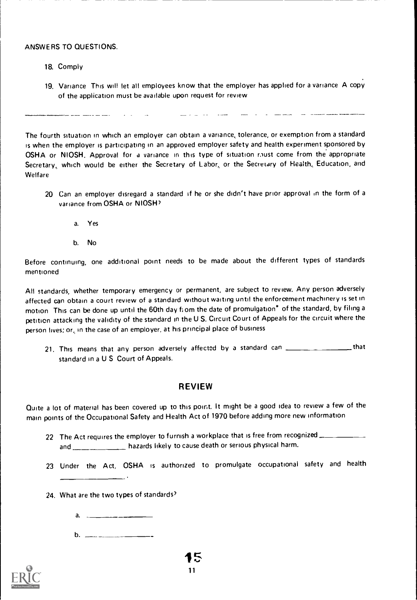- 18. Comply
- 19. Variance This will let all employees know that the employer has applied for a variance A copy of the application must be available upon request for review

The fourth situation in which an employer can obtain a variance, tolerance, or exemption from a standard is when the employer is participating in an approved employer safety and health experiment sponsored by OSHA or NIOSH. Approval for a variance in this type of situation must come from the appropriate Secretary, which would be either the Secretary of Labor, or the Secretary of Health, Education, and Welfare

- 20 Can an employer disregard a standard if he or she didn't have prior approval in the form of a variance from OSHA or NIOSH?
	- a. Yes
	- b. No

Before continuing, one additional point needs to be made about the different types of standards mentioned

All standards, whether temporary emergency or permanent, are subject to review. Any person adversely affected can obtain a court review of a standard without waiting until the enforcement machinery is set in motion This can be done up until the 60th day fi om the date of promulgation\* of the standard, by filing a petition attacking the validity of the standard in the U S. Circuit Court of Appeals for the circuit where the person lives; or, in the case of an employer, at his principal place of business

21. This means that any person adversely affected by a standard can that that standard in a U S Court of Appeals.

#### REVIEW

Quite a lot of material has been covered up to this point. It might be a good idea to review a few of the main points of the Occupational Safety and Health Act of 1970 before adding more new information

- 22 The Act requires the employer to furnish a workplace that is free from recognized \_\_\_\_\_\_\_ and **hazards likely to cause death or serious physical harm.**
- 23 Under the Act, OSHA is authorized to promulgate occupational safety and health
- 24. What are the two types of standards?
	- a
	- $b.$   $\frac{1}{2}$   $\frac{1}{2}$   $\frac{1}{2}$   $\frac{1}{2}$   $\frac{1}{2}$   $\frac{1}{2}$   $\frac{1}{2}$   $\frac{1}{2}$   $\frac{1}{2}$   $\frac{1}{2}$   $\frac{1}{2}$   $\frac{1}{2}$   $\frac{1}{2}$   $\frac{1}{2}$   $\frac{1}{2}$   $\frac{1}{2}$   $\frac{1}{2}$   $\frac{1}{2}$   $\frac{1}{2}$   $\frac{1}{2}$   $\frac{1}{2}$   $\frac{1}{$

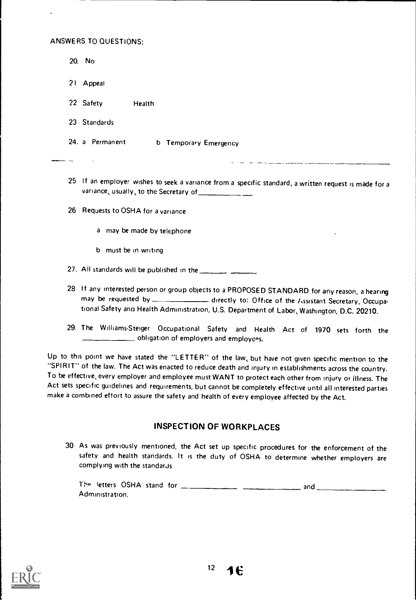|    | 20. No.                                                                                                                                                                                                                                                                                  |
|----|------------------------------------------------------------------------------------------------------------------------------------------------------------------------------------------------------------------------------------------------------------------------------------------|
|    | 21 Appeal                                                                                                                                                                                                                                                                                |
|    | 22 Safety<br>Health                                                                                                                                                                                                                                                                      |
|    | 23 Standards                                                                                                                                                                                                                                                                             |
|    | 24. a Permanent<br>b Temporary Emergency                                                                                                                                                                                                                                                 |
|    |                                                                                                                                                                                                                                                                                          |
|    | 25 If an employer wishes to seek a variance from a specific standard, a written request is made for a<br>variance, usually, to the Secretary of ____________                                                                                                                             |
| 26 | Requests to OSHA for a variance                                                                                                                                                                                                                                                          |
|    | a may be made by telephone                                                                                                                                                                                                                                                               |
|    | b must be in writing                                                                                                                                                                                                                                                                     |
|    |                                                                                                                                                                                                                                                                                          |
|    | 28 If any interested person or group objects to a PROPOSED STANDARD for any reason, a hearing<br>may be requested by ____________ directly to: Office of the /issistant Secretary, Occupa-<br>tional Safety and Health Administration, U.S. Department of Labor, Washington, D.C. 20210. |
|    |                                                                                                                                                                                                                                                                                          |

29, The Williams-Steiger Occupational Safety and Health Act of <sup>1970</sup> sets forth the obligation of employers and employees.

Up to this point we have stated the "LETTER" of the law, but have not given specific mention to the "SPIRIT" of the law. The Act was enacted to reduce death and injury in establishments across the country. To be effective, every employer and employee must WANT to protect each other from injury or illness. The Act sets specific guidelines and requirements, but cannot be completely effective until all interested parties make a combined effort to assure the safety and health of every employee affected by the Act.

#### INSPECTION OF WORKPLACES

30 As was previously mentioned, the Act set up specific procedures for the enforcement of the safety and health standards. It is the duty of OSHA to determine whether employers are complying with the standards

|                 | The letters OSHA stand for |  |  | and |  |
|-----------------|----------------------------|--|--|-----|--|
| Administration. |                            |  |  |     |  |

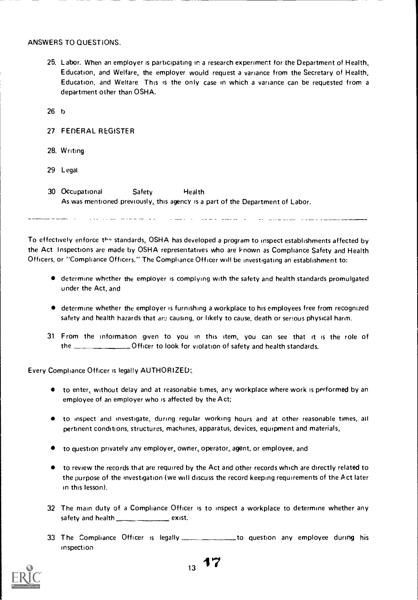25. Labor. When an employer is participating ir, a research experiment for the Department of Health, Education, and Welfare, the employer would request a variance from the Secretary of Health, Education, and Welfare This is the only case in which a variance can be requested from a department other than OSHA.

26 b

- 27 FEDERAL REGISTER
- 28. Writing
- 29 Legal
- 30 Occupational Safety Health As was mentioned previously, this agency is a part of the Department of Labor.

To effectively enforce the standards, OSHA has developed a program to inspect establishments affected by the Act Inspections are made by OSHA representatives who are known as Compliance Safety and Health Officers, or "Compliance Officers." The Compliance Officer will be investigating an establishment to:

a mark of the management of

- determine whether the employer is complying with the safety and health standards promulgated under the Act, and
- determine whether the employer is furnishing a workplace to his employees free from recognized safety and health hazards that are causing, or likely to cause, death or serious physical harm.
- 31 From the information given to you in this item, you can see that it is the role of the <u>Community Officer to look for violation</u> of safety and health standards.

Every Compliance Officer is legally AUTHORIZED:,

- $\bullet$  to enter, without delay and at reasonable times, any workplace where work is performed by an employee of an employer who is affected by the Act;
- to inspect and investigate,, during regular working hours and at other reasonable times, all pertinent conditions, structures, machines, apparatus, devices, equipment and materials,
- $\bullet$  to question privately any employer, owner, operator, agent, or employee, and
- to review the records that are required by the Act and other records which are directly related to the purpose of the investigation (we will discuss the record keeping requirements of the Act later in this lesson).
- 32 The main duty of a Compliance Officer is to inspect a workplace to determine whether any safety and health exist.
- 33 The Compliance Officer is legally \_\_\_\_\_\_\_\_\_\_\_\_\_\_\_\_to question any employee during his inspection



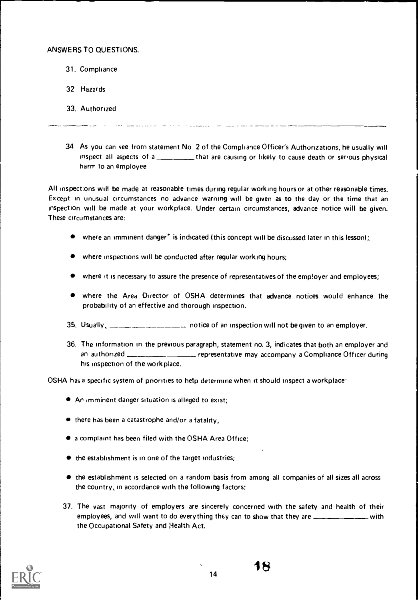- 31. Compliance
- 32 Hazards
- 33. Authorized
- 34 As you can see from statement No 2 of the Compliance Officer's Authorizations, he usually will inspect all aspects of a \_\_\_\_\_\_\_\_\_\_\_ that are causing or likely to cause death or serious physical harm to an employee

All inspections will be made at reasonable times during regular working hours or at other reasonable times. Except in unusual circumstances no advance warning will be given as to the day or the time that an inspection will be made at your workplace. Under certain circumstances, advance notice will be given. These circumstances are:

- where an imminent danger\* is indicated (this concept will be discussed later in this lesson);
- $\bullet$  where inspections will be conducted after regular working hours;

the composition of the composition

- where it is necessary to assure the presence of representatives of the employer and employees;
- where the Area Director of OSHA determines that advance notices would enhance the probability of an effective and thorough inspection.
- 35. Usually, **notice of an imspection will not be given to an employer.**
- 36. The information in the previous paragraph, statement no. 3, indicates that both an employer and an authorized **representative may accompany a Compliance Officer during** his inspection of the workplace.

OSHA has a specific system of priorities to help determine when it should inspect a workplace

- An imminent danger situation is alleged to exist;
- $\bullet$  there has been a catastrophe and/or a fatality,
- a complaint has been filed with the OSHA Area Office;
- $\bullet$  the establishment is in one of the target industries;
- the establishment is selected on a random basis from among all companies of all sizes all across the country, in accordance with the following factors:
- 37. The vast majority of employers are sincerely concerned with the safety and health of their employees, and will want to do everything they can to show that they are \_\_\_\_\_\_\_\_\_\_\_\_\_\_ with the Occupational Safety and Health Act.



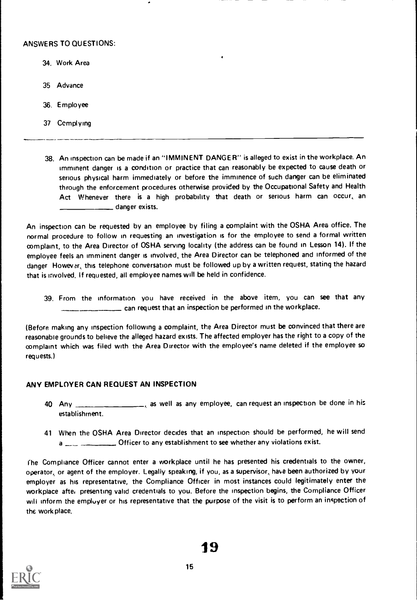- 34. Work Area
- 35 Advance
- 38. Employee
- 37 Complying
- 38. An inspection can be made if an "IMMINENT DANGER" is alleged to exist in the workplace. An imminent danger is a condition or practice that can reasonably be expected to cause death or serious physical harm immediately or before the imminence of such danger can be eliminated through the enforcement procedures otherwise provided by the Occupational Safety and Health Act Whenever there is <sup>a</sup> high probability that death or serious harm can occur, an danger exists.

An inspection can be requested by an employee by filing a complaint with the OSHA Area office. The normal procedure to follow in requesting an investigation is for the employee to send a formal written complaint, to the Area Director of OSHA serving locality (the address can be found in Lesson 14). If the employee feels an imminent danger is involved, the Area Director can be telephoned and informed of the danger However, this telephone conversation must be followed up by a written request, stating the hazard that is involved. If requested, all employee names will be held in confidence.

39. From the information you have received in the above item, you can see that any  $\equiv$  can request that an inspection be performed in the workplace.

(Before making any inspection following a complaint, the Area Director must be convinced that there are reasonable grounds to believe the alleged hazard exists. The affected employer has the right to a copy of the complaint which was filed with the Area Director with the employee's name deleted if the employee so requests.)

#### ANY EMPLOYER CAN REQUEST AN INSPECTION

- 40 Any \_\_\_\_\_\_\_\_\_\_\_\_\_\_\_, as well as any employee, can request an inspection be done in his establishment.
- 41 When the OSHA Area Director decides that an inspection should be performed, he will send a \_\_\_ \_\_\_\_\_\_\_\_ Officer to any establishment to see whether any violations exist.

f he Compliance Officer cannot enter a workplace until he has presented his credentials to the owner, operator, or agent of the employer. Legally speaking, if you, as a supervisor, have been authorized by your employer as his representative, the Compliance Officer in most instances could legitimately enter the workplace after presenting valid credentials to you. Before the Inspection begins, the Compliance Officer will inform the employer or his representative that the purpose of the visit is to perform an inspection of the workplace.

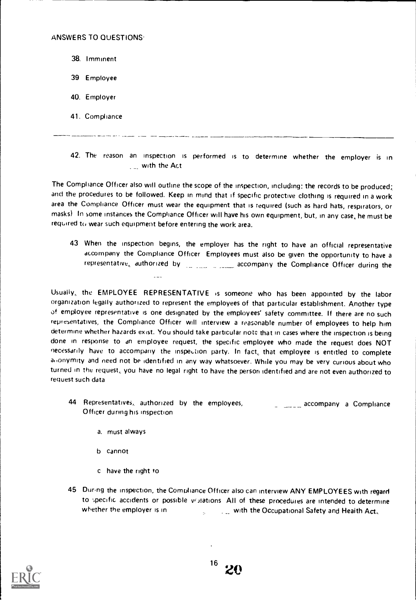- 38. Imminent
- 39 Employee
- 40. Employer
- 41. Compliance

42. The reason an inspection is performed is to determine whether the employer is in with the Act

The Compliance Officer also will outline the scope of the inspection, including: the records to be produced; and the procedures to be followed. Keep in mind that if specific protective clothing is required in a work area the Compliance Officer must wear the equipment that is required (such as hard hats, respirators, or masks) In some instances the Compliance Officer will have his own equipment, but, in any case, he must be required to wear such equipment before entering the work area.

43 When the inspection begins, the employer has the right to have an official representative accompany the Compliance Officer Employees must also be given the opportunity to have a representative, authorized by  $\frac{1}{2}$  accompany the Compliance Officer during the

Usually,, the EMPLOYEE REPRESENTATIVE is someone who has been appointed by the labor organization legally authorized to represent the employees of that particular establishment. Another type of employee representative is one designated by the employees' safety committee. If there are no such representatives, the Compliance Officer will interview a reasonable number of employees to help him determine whether hazards exist. You should take particular note that in cases where the inspection is being done in response to an employee request, the specific employee who made the request does NOT necessarily have to accompany the inspection party. In fact, that employee is entitled to complete anonymity and need not be identified in any way whatsoever. While you may be very curious about who turned in the request, you have no legal right to have the person identified and are not even authorized to request such data

- 44 Representatives, authorized by the employees, and accompany a Compliance Officer during his inspection
	- a. must always
	- b cannot
	- c have the right to
- 45 Dur,ng the inspection, the Compliance Officer also can interview ANY EMPLOYEES with regard to specific accidents or possible visitions. All of these procedures are intended to determine whether the employer is in with the Occupational Safety and Health Act.

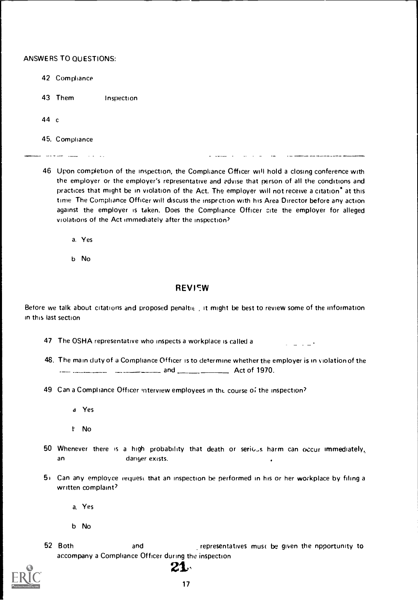- 42 Compliance
- 43 Them Inspection

**Contract** 

- 44 c
- 45. Compliance

المستورد المصداح والمرا

- 46 Upon completion of the inspection, the Compliance Officer will hold a closing conference with the employer or the employer's representative and advise that person of all the conditions and practices that might be in violation of the Act. The employer will not receive a citation\* at this time The Compliance Officer will discuss the Inspection with his Area Director before any action against the employer is taken. Does the Compliance Officer cite the employer for alleged violations of the Act immediately after the inspection?
	- a. Yes
	- b No

#### **REVIEW**

Before we talk about citations and proposed penaltie  $\mu$  it might be best to review some of the information in this last section

- 47 The OSHA representative who inspects a workplace is called a strategy of the County of the County of the County of the County of the County of the County of the County of the County of the County of the County of the Co
- 46. The main duty of a Compliance Officer is to determine whether the employer is in violation of the  $\frac{1}{2}$  and  $\frac{1}{2}$  Act of 1970.
- 49 Can a Compliance Officer interview employees in the course of the inspection?
	- d Yes
	- <sup>h</sup> No
- 50 Whenever there is a high probability that death or serious harm can occur immediately, an danger exists.
- 5i Can any employee iequesi that an inspection be performed in his or her workplace by filing a written complaint?
	- a. Yes
	- b No
- 52 Both and representatives must be given the npportunity to accompany a Compliance Officer during the inspection  $\mathbf{21}$ .

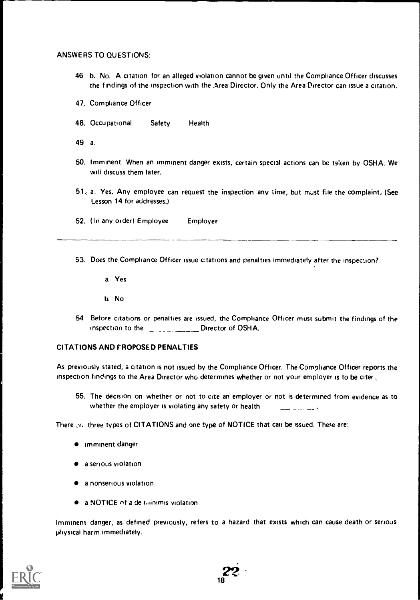- 46 b. No. A citation for an alleged violation cannot be given until the Compliance Officer discusses the findings of the inspaction with the Area Director. Only the Area Director can issue a citation.
- 47. Compliance Officer
- 48. Occupational Safety Health
- 49 a.
- 50. Imminent When an imminent danger exists, certain special actions can be taken by OSHA. We will discuss them later.
- 51.; a. Yes. Any employee can request the inspection any time, but must the the complaint: (See Lesson 14 for addresses.)
- 52. (In any older) Employee Employer
- 53. Does the Compliance Officer issue citations and penalties immediately after the inspection?
	- a. Yes
	- b. No
- 54 Before citations or penalties are issued, the Compliance Officer must submit the findings of the inspection to the <sub>200</sub> 200 200 Director of OSHA.

#### CITATIONS AND FROPOSED PENALTIES

As previously stated, a citation is not issued by the Compliance Officer. The Compliance Officer reports the inspection findings to the Area Director who determines whether or not your employer is to be citer,

55. The decision on whether or not to cite an employer or not is determined from evidence as to whether the employer is violating any safety or health

There ... three types of CITATIONS and one type of NOTICE that can be issued. These are:

- **•** imminent danger
- **a** a serious violation
- a nonsenous violation
- a NOTICE of a de 1..inimis violation

Imminent danger, as defined previously, refers to a hazard that exists which can cause death or serious physical harm immediately.



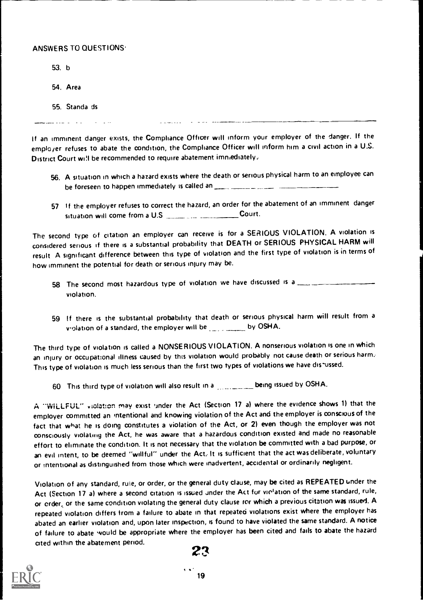53. b

54. Area

55. Standa ds

If an imminent danger exists, the Compliance Officer will inform your employer of the danger. If the emplo jer refuses to abate the condition, the Compliance Officer will inform him a civil action in a U.S. District Court wi!I be recommended to require abatement immediately:

- 56. A situation in which a hazard exists where the death or serious physical harm to an einployee can be foreseen to happen immediately is called an \_\_\_\_\_\_\_\_\_\_\_\_\_\_\_\_\_\_\_\_\_\_\_\_\_\_\_\_\_\_\_\_\_
- <sup>57</sup> If the employer refuses to correct the hazard, an order for the abatement of an imminent danger situation will come from a U.S Court.

The second type of citation an employer can receive is for a SERIOUS VIOLATION. A violation is considered serious if there is a substantial probability that DEATH or SERIOUS PHYSICAL HARM will result A significant difference between this type of violation and the first type of violation is in terms of how imminent the potential for death or serious injury may be.

- 58 The second most hazardous type of violation we have discussed is a violation.
- <sup>59</sup> If there is the substantial probability that death or serious physical harm will result from a violation of a standard, the employer will be  $b$  by OSHA.

The third type of violation is called a NONSERIOUS VIOLATION. A nonsenous violation is one in which an injury or occupational illness caused by this violation would probably not cause death or serious harm. This type of violation is much less serious than the first two types of violations we have dispussed.

60 This third type of violation will also result in a \_\_\_\_\_\_\_\_\_\_\_\_ being issued by OSHA.

A "WILLFUL" violation may exist under the Act (Section 17 a) where the evidence shows 1) that the employer committed an intentional and knowing violation of the Act and theemployer is conscious of the fact that what he is doing constitutes a violation of the Act, or 2) even though the employer was not consciously violating the Act, he was aware that a hazardous condition existed and made no reasonable effort to eliminate the condition. It is not necessary that the violation be committed with a bad purpose, or an evil intent, to be deemed "willful" under the Act. It is sufficient that the act was deliberate, voluntary or intentional as distinguished from those which were inadvertent, accidental or ordinarily negligent.

Violation of any standard, rule, or order, or the general duty clause, may be cited as REPEATED under the Act (Section 17 a) where a second citation is issued under the Act for violation of the same standard, rule, or order, or the same condition violating the general duty clause tor which a previous citation was issued. A repeated violation differs from a failure to abate in that repeated violations exist where the employer has abated an earlier violation and, upon later inspection, is found to have violated the same standard. A notice of failure to abate would be appropriate where the employer has been cited and fails to abate the hazard cited within the abatement period.

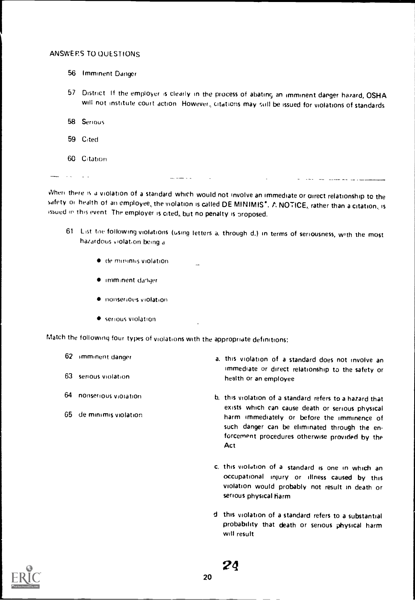- 56 Imminent Danger
- <sup>57</sup> District If the employer is clearly in the process of abating an imminent danger hazard, OSHA will not institute court action. However, citations may sull be issued for violations of standards
- 58 Serious
- 59 Cited
- 60 Citation

When there is a violation of a standard which would not involve an immediate or direct relationship to the safety or health of an employee, the violation is called DE MINIMIS\*. A NOTICE, rather than a citation, is issued in this event The employer is cited, but no penalty is oroposed.

and a state of the

- <sup>61</sup> List tire following violations (using letters a, through d,) in terms of seriousness, with the most hazardous violation being a
	- de minims violation
	- imminent danger
	- $\bullet$  nonserious violation
	- **Serious violation**

Match the following four types of violations with the appropriate definitions:

- 62 imminent danger
- 63 serious violation
- 64 nonserious violation
- 65 de minimis violation
- a. this violation of a standard does not involve an immediate or direct relationship to the safety or health or an employee
- b. this violation of a standard refers to a hazard that exists which can cause death or serious physical harm immediately or before the imminence of such danger can be eliminated through the enforcement procedures otherwise provided by the Act
- c. this violation of a standard is one in which an occupational injury or illness caused by this violation would probably not result in death or serious physical harm
- d this violation of a standard refers to a substantial probability that death or serious physical harm will result



ZQ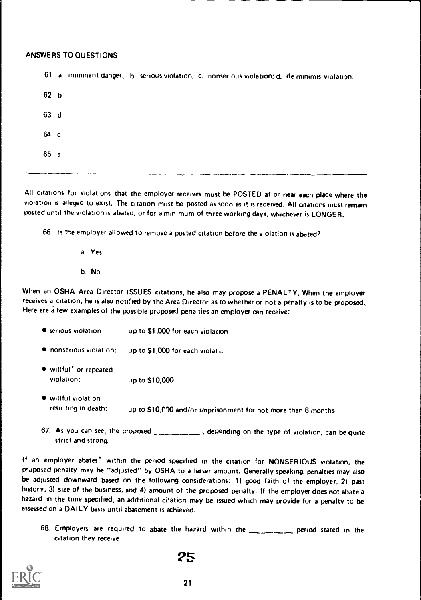|                 |  |  | 61 a imminent danger, b. serious violation; c. nonserious violation; d. de minimis violation. |  |
|-----------------|--|--|-----------------------------------------------------------------------------------------------|--|
| 62 <sub>b</sub> |  |  |                                                                                               |  |
| 63 d            |  |  |                                                                                               |  |
| 64 с            |  |  |                                                                                               |  |
| 65 a            |  |  |                                                                                               |  |
|                 |  |  |                                                                                               |  |

All citations for violations that the employer receives must be POSTED at or near each place where the violation is alleged to exist. The citation must be posted as soon as it is received. All citations must remain posted until the violation is abated, or for a minimum of three working days, whichever is LONGER,

66 Is the employer allowed to remove a posted citation before the violation is abated?

a Yes b. No

When an OSHA Area Director ISSUES citations, he also may propose a PENALTY. When the employer receives a citation, he is also notified by the Area Director as to whether or not a penalty is to be proposed, Here are <sup>a</sup> few examples of the possible proposed penalties an employer can receive:

- $\bullet$  serious violation up to \$1,000 for each violation
- nonserious violation: up to \$1,000 for each violation
- willful' or repeated violation: up to \$10,000
- willful violation resulting in death: up to \$10,000 and/or imprisonment for not more than 6 months
- 67. As you can see, the proposed \_\_\_\_\_\_\_\_\_\_\_\_ depending on the type of violation, can be quite strict and strong.

If an employer abates' within the period specified in the citation for NONSER IOUS violation, the proposed penalty may be "adjusted" by OSHA to a lesser amount. Generally speaking, penalties may also be adjusted downward based on the following considerations; 1) good faith of the employer, 2) past history, 3) size of the business, and 4) amount of the proposed penalty. If the employer does not abate a hazard in the time specified, an additional citation may be issued which may provide for a penalty to be assessed on a DAILY basis until abatement is achieved.

68. Employers are required to abate the hazard within the period stated in the citation they receive



## 25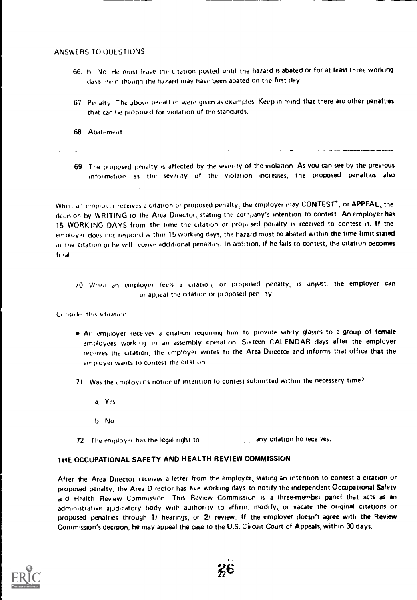#### ANSWERS TO OULSTIONS

- 66. h No He must lease the citation posted until the hazard is abated or for at least three working das, even though the hazard may have been abated on the first day
- 67 Penalty The above penaltie- were given as examples Keep in mind that there are other penalties that can he proposed for violation of the standards.
- 68 Abatement
- 69 The proposed penalty is affected by the severity of the violation As you can see by the previous information as the severity of the violation increases, the proposed penalties also

Whim an employer receives a citation or proposed penalty, the employer may CONTEST\*, or APPEAL, the decision by WRITING to the Area Director, stating the cornpany's intention to contest. An employer has 15 WORKING DAYS from the time the citation or propicsed penalty is received to contest it. If the employer does not respond within 15 working days, the hazard must be abated within the time limit stated in the citation or he will receive additional penalties. In addition, if he fails to contest, the citation becomes fi ral

/0 Wheo an employer feels <sup>a</sup> citation, or proposed penalty, is unjust, the employer can or appeal the citation or proposed per ity

Consider this situation

- An employer receives a citation requiring him to provide safety glasses to a group of female employees working in an assembly operation Sixteen CALENDAR days after the employer receives the citation, the employer writes to the Area Director and informs that office that the employer wants to contest the citation
- <sup>71</sup> Was the employer's notice of intention to contest submitted within the necessary time
	- a, Yes
	- b No
- 72 The employer has the legal right to any citation he receives.

#### THE OCCUPATIONAL SAFETY AND HEALTH REVIEW COMMISSION

After the Area Director receives a letter from the employer, stating an intention to contest a citation or proposed penalty, the Area Director has five working days to notify the independent Occupational Safety \*id Health Review Commission This Review Commission is a threemernbe; panel that acts as an administrative aludicatory body with authority to affirm, modify, or vacate the original citations or proposed penalties through 1) hearings, or 2) review. If the employer doesn't agree with the Review Commission's decision, he may appeal the case to the U.S. Circuit Court of Appeals, within 30 days.

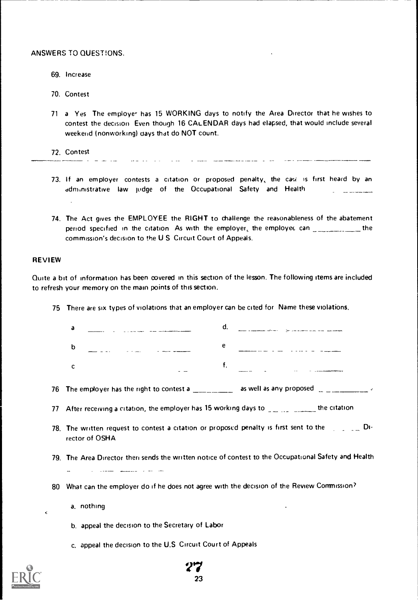- 69. Increase
- 70. Contest
- <sup>71</sup> <sup>a</sup> Yes The employe has 15 WORKING days to notify the Area Director that he wishes to contest the decision Even though 16 CALENDAR days had elapsed, that would include several weekend (nonworking) days that do NOT count.
- 72. Contest
- 73. If an employer contests a citation or proposed penalty, the case is first heard by an administrative law judge of the Occupational Safety and Health

 $\label{eq:reduced} \mathcal{L}_{\text{cusp}} = \mathcal{L}_{\text{cusp}} \mathcal{L}_{\text{cusp}} \mathcal{L}_{\text{cusp}} \mathcal{L}_{\text{cusp}} \mathcal{L}_{\text{cusp}} \mathcal{L}_{\text{cusp}} \mathcal{L}_{\text{cusp}} \mathcal{L}_{\text{cusp}} \mathcal{L}_{\text{cusp}}$ 

74. The Act gives the EMPLOYEE the RIGHT to challenge the reasonableness of the abatement period specified in the citation. As with the employer, the employee can **the employee of the employee can** the commission's decision to the U S Circuit Court of Appeals.

#### REVIEW

Quite a bit of information has been covered in this section of the lesson. The following items are included to refresh your memory on the main points of this section.

75 There are six types of violations that an employer can be cited for Name these violations.

|    | d.<br>a<br>والمتعادل والمستنب<br><u>a sa sababan sa sara</u>                                                               |
|----|----------------------------------------------------------------------------------------------------------------------------|
|    | e<br>b<br>. <u>. .</u>                                                                                                     |
|    | f.<br>c                                                                                                                    |
|    | 76 The employer has the right to contest a $\frac{1}{2}$ as well as any proposed $\frac{1}{2}$ $\frac{1}{2}$ $\frac{1}{2}$ |
|    | 77 After receiving a citation, the employer has 15 working days to the contact the citation                                |
|    | 78. The written request to contest a citation or proposed penalty is first sent to the<br>rector of OSHA                   |
|    | 79. The Area Director theri sends the written notice of contest to the Occupational Safety and Health                      |
| 80 | What can the employer do if he does not agree with the decision of the Review Commission?                                  |
|    | a, nothing                                                                                                                 |
|    | b. appeal the decision to the Secretary of Labor                                                                           |
|    | c. appeal the decision to the U.S. Circuit Court of Appeals                                                                |
|    |                                                                                                                            |



ċ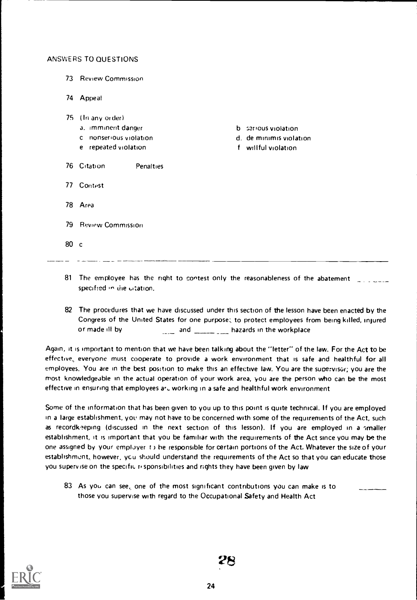- 73 Review Commission
- 74 Appeal
- 75 (In any order)
	- a. imminent danger
	- c nonserious violation
	- <sup>e</sup> repeated violation
- b serious violation
- d, de minimis violation
- f willful violation

- 76 Citation Penalties
- 77 Contest
- 78 Area
- 79 Review Commission
- 80 c
- 81 The employee has the right to contest only the reasonableness of the abatement specified in the Litation,
- 82 The procedures that we have discussed under this section of the lesson have been enacted by the Congress of the United States for one purpose:, to protect employees from being killed, injured or made ill by and hazards in the workplace

Again, it is important to mention that we have been talking about the "letter" of the law. For the Act to be effective, everyone must cooperate to provide a work environment that is safe and healthful for all employees. You are in the best position to make this an effective law. You are the supervisor; you are the most knowledgeable in the actual operation of your work area, you are the person who can be the most effective in ensuring that employees ard working in a safe and healthful work environment

Some of the information that has been given to you up to this point is quite technical. If you are employed in a large establishment, you may not have to be concerned with some of the requirements of the Act, such as recordk ?eping (discussed in the next section of this lesson). If you are employed in a smaller establishment, it is important that you be familiar with the requirements of the Act since you may be the one assigned by your employer t ) he responsible for certain portions of the Act. Whatever the size of your establishment, however, you should understand the requirements of the Act so that you can educate those you supervise on the specific responsibilities and rights they have been given by law

83 As you can see, one of the most significant contributions you can make is to those you supervise with regard to the Occupational Safety and Health Act

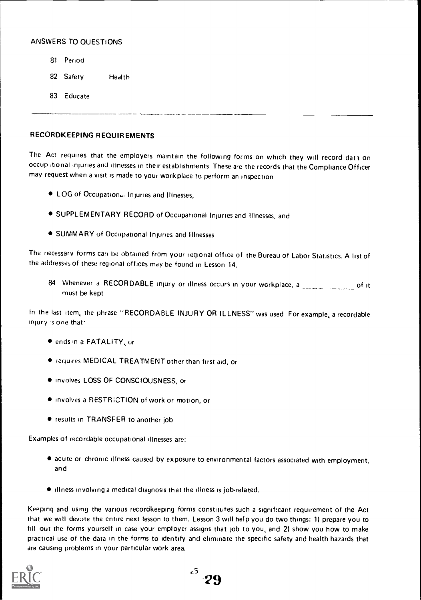- 81 Period
- 82 Safety Health
- 83 Educate

#### RECORDKEEPING REQUIREMENTS

The Act requires that the employers maintain the following forms on which they will record data on occup itional injuries and illnesses in their establishments These are the records that the Compliance Officer may request when a visit is made to your workplace to perform an inspection

- LOG of Occupation. Injuries and Illnesses,
- SUPPLEMENTARY RECORD of Occupational Injuries and finesses, and
- SUMMARY of Occupational Injuries and Illnesses

The necessary forms can be obtained from your regional office of the Bureau of Labor Statistics. A list of the addresses of these regional offices may be found in Lesson 14.

84 Whenever a RECORDABLE injury or illness occurs in your workplace, a  $\frac{1}{2}$   $\frac{1}{2}$   $\frac{1}{2}$  of it must be kept

In the last item,, the phrase ''RECORDABLE INJURY OR ILLNESS" was used For example, a recordable injury is one that

- ends in a FATALITY, or
- requires MEDICAL TREATMENT other than first aid, or
- involves LOSS OF CONSCIOUSNESS, or
- $\bullet$  involves a RESTRICTION of work or motion, or
- results in TRANSFER to another job

Examples of recordable occupational illnesses are:

- acute or chronic illness caused by exposure to environmental factors associated with employment, and
- illness involving a medical diagnosis that the illness is job-related.

Keeping and using the various recordkeeping forms constitutes such a significant requirement of the Act that we will dev3te the entire next lesson to them. Lesson 3 will help you do two things: 1) prepare you to fill out the forms yourself in case your employer assigns that job to you, and 2) show you how to make practical use of the data in the forms to identify and eliminate the specific safety and health hazards that are causing problems in your particular work area.



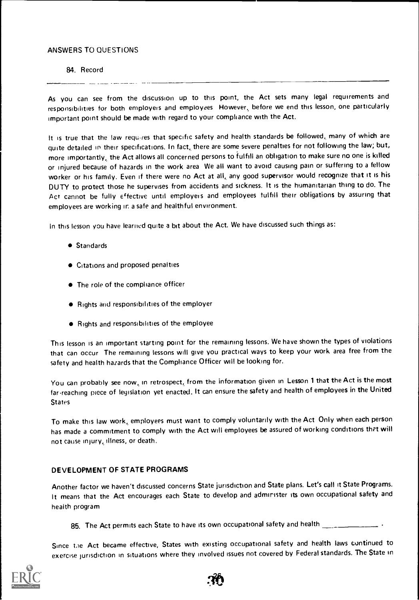#### 84. Record

As you can see from the discussion up to this point, the Act sets many legal requirements and responsibilities for both employers and employees. However, before we end this lesson, one particularly important point should be made with regard to your compliance with the Act.

It is true that the law requires that specific safety and health standards be followed, many of which are quite detailed in their specifications. In fact, there are some severe penalties for not following the law; but, more importantly, the Act allows all concerned persons to fulfill an obligation to make sure no one is killed or injured because of hazards in the work area We all want to avoid causing pain or suffering to a fellow worker or his family. Even if there were no Act at all, any good supervisor would recognize that it is his DUTY to protect those he supervises from accidents and sickness. It is the humanitarian thing to do. The Act cannot be fully effective until employers and employees fulfill their obligations by assuring that employees are working in a safe and healthful environment.

In this lesson you have learned quite a bit about the Act. We have discussed such things as:

- **Standards**
- Citations and proposed penalties
- The role of the compliance officer
- **•** Rights and responsibilities of the employer
- Rights and responsibilities of the employee

This lesson is an important starting point for the remaining lessons. We have shown the types of violations that can occur The remaining lessons will give you practical ways to keep your work area free from the safety and health hazards that the Compliance Officer will be looking for.

You can probably see now, in retrospect, from the information given in Lesson 1 that the Act is the most far-reaching piece of legislation yet enacted. It can ensure the safety and health of employees in the United **States** 

To make this law work, employees must want to comply voluntarily with the Act Only when each person has made a commitment to comply with the Act will employees be assured of working conditions that will not cause injury, illness, or death.

#### DEVELOPMENT OF STATE PROGRAMS

Another factor we haven't discussed concerns State jurisdiction and State plans. Let's call it State Programs. It means that the Act encourages each State to develop and administer its own occupational safety and health program

85. The Act permits each State to have its own occupational safety and health \_ \_ \_

Since the Act became effective, States with existing occupational safety and health laws continued to exercise jurisdiction in situations where they involved issues not covered by Federal standards. The State in

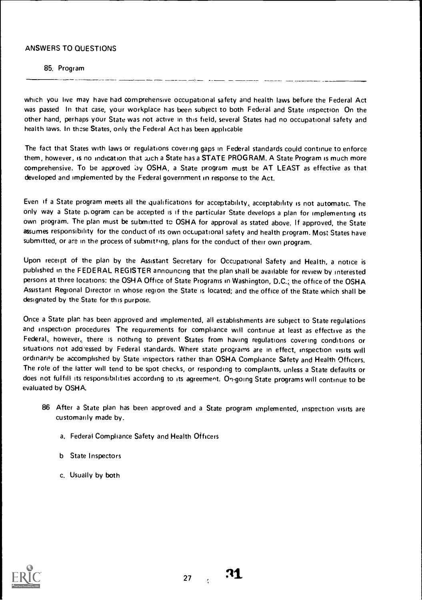#### 85. Program

which you live may have had comprehensive occupational safety and health laws before the Federal Act was passed In that case, your workplace has been subject to both Federal and State inspection On the other hand, perhaps your State was not active in this field, several States had no occupational safety and health laws. In these States, only the Federal Act has been applicable

The fact that States with laws or regulations covering gaps in Federal standards could continue to enforce them, however, is no indication that ;uch a State has a STATE PROGRAM. A State Program is much more comprehensive. To be approved 'oy OSHA, a State program must be AT LEAST as effective as that developed and implemented by the Federal government in response to the Act.

Even if a State program meets all the qualifications for acceptability, acceptability is not automatic. The only way a State p,ogram can be accepted is if the particular State develops a plan for implementing its own program. The plan must be submitted to OSHA for approval as stated above. If approved, the State assumes responsibility for the conduct of its own occupational safety and health program. Most States have submitted, or are in the process of submitting, plans for the conduct of their own program.

Upon receipt of the plan by the Assistant Secretary for Occupational Safety and Health, a notice is published in the FEDERAL REGISTER announcing that the plan shall be available for review by interested persons at three locations: the OSHA Office of State Programs in Washington, D.C.; the office of the OSHA Assistant Regional Director in whose region the State is located; and the office of the State which shall be designated by the State for this purpose.

Once a State plan has been approved and implemented, all establishments are subject to State regulations and inspection procedures The requirements for compliance will continue at least as effective as the Federal, however, there is nothing to prevent States from having regulations covering conditions or situations not addressed by Federal standards. Where state programs are in effect, inspection visits will ordinarily be accomplished by State inspectors rather than OSHA Compliance Safety and Health Officers. The role of the latter will tend to be spot checks, or responding to complaints, unless a State defaults or does not fulfill its responsibilities according to its agreement. On-going State programs will continue to be evaluated by OSHA.

- 86 After a State plan has been approved and a State program implemented, inspection visits are customarily made by.
	- a. Federal Compliance Safety and Health Officers
	- b State Inspectors
	- c. Usually by both



27

31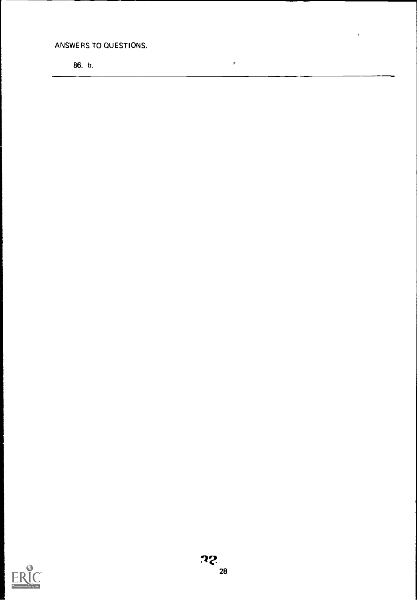**86.** h.  $\leq$ 



Ļ.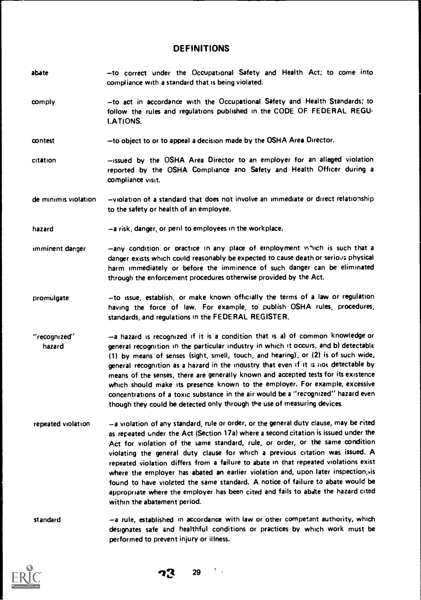#### **DEFINITIONS**

- abate to correct under the Occupational Safety and Health Act; to come into compliance with a standard that is being violated.
- comply  $-$  to act in accordance with the Occupational Safety and Health Standards; to follow the rules and regulations published in the CODE OF FEDERAL REGU-LATIONS.
- contest **the object to or to appeal a decision made by the OSHA Area Director.**
- citation issued by the OSHA Area Director to an employer for an alleged violation reported by the OSHA Compliance ano Safety and Health Officer during a compliance visit.
- de minimis violation violation of a standard that does not involve an immediate or direct relationship to the safety or health of an employee.
- hazard **a risk, danger, or peril to employees in the workplace.**
- imminent danger  $-$ any condition or practice in any place of employment which is such that a danger exists which could reasonably be expected to cause death or serious physical harm immediately or before the imminence of such danger can be eliminated through the enforcement procedures otherwise provided by the Act.
- promulgate to issue, establish, or make known officially the terms of a law or regulation having the force of law. For example, to publish OSHA rules, procedures, standards, and regulations in the FEDERAL REGISTER.
- "recognized" a hazard is recognized if it is a condition that is a) of common knowledge or hazard general recognition in the particular industry in which it occurs, and b) detectable. (1) by means of senses (sight, smell, touch, and hearing), or (2) is of such wide, general recognition as a hazard in the moustry that even if it is not detectable by means of the senses, there are generally known and accepted tests for its existence which should make its presence known to the employer. For example, excessive concentrations of a toxic substance in the air would be a "recognized" hazard even though they could be detected only through the use of measuring devices.
- repeated violation a violation of any standard, rule or order, or the general duty clause, may be cited as repeated under the Act (Section 17a) where a second citation is issued under the Act for violation of the same standard, rule, or order, or the same condition violating the general duty clause for which a previous citation was issued. A repeated violation differs from a failure to abate in that repeated violations exist where the employer has abated an earlier violation and, upon later inspection, is found to have violated the same standard. A notice of failure to abate would be appropriate where the employer has been cited and fails to abate the hazard cited within the abatement period.
- standard a rule, established in accordance with law or other competant authority, which designates safe and healthful conditions or practices by which work must be performed to prevent injury or illness.





.p3 <sup>29</sup>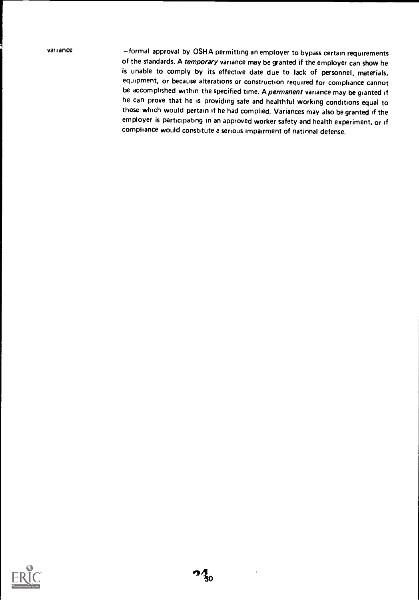variance **formal approval by OSHA permitting an employer to bypass certain requirements** of the standards. A temporary variance may be granted if the employer can show he is unable to comply by its effective date due to lack of personnel, materials, equipment, or because alterations or construction required for compliance cannot be accomplished within the specified time. A permanent variance may be granted if he can prove that he is providing sate and healthful working conditions equal to those which would pertain if he had complied. Variances may also be granted if the employer is participating in an approved worker safety and health experiment, or if compliance would constitute a serious impairment of national defense.

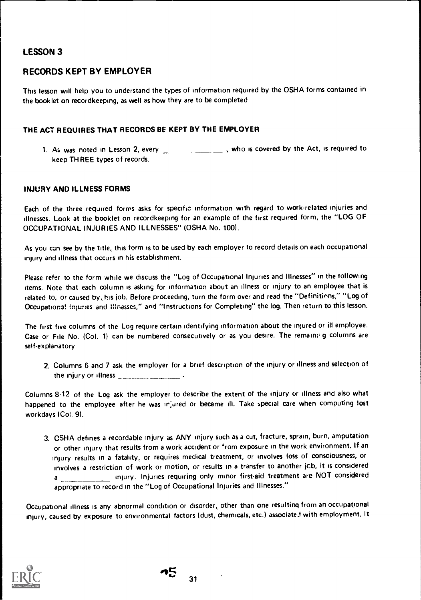#### LESSON 3

#### RECORDS KEPT BY EMPLOYER

This lesson will help you to understand the types of information required by the OSHA forms contained in the booklet on recordkeeping, as well as how they are to be completed

#### THE ACT REQUIRES THAT RECORDS BE KEPT BY THE EMPLOYER

1. As was noted in Lesson 2, every , who is covered by the Act, is required to keep THREE types of records.

#### INJURY AND ILLNESS FORMS

Each of the three required forms asks for specific information with regard to work-related injuries and illnesses. Look at the booklet on recordkeeping for an example of the first required form, the "LOG OF OCCUPATIONAL INJURIES AND ILLNESSES" (OSHA No. 100).

As you can see by the title, this form is to be used by each employer to record details on each occupational injury and illness that occurs in his establishment.

Please refer to the form while we discuss the "Log of Occupational Injuries and Illnesses" in the following items. Note that each column is asking for information about an illness or injury to an employee that is related to, or caused by, his job. Before proceeding, turn the form over and read the "Definitions," "Log of Occupation3! Injuries and Illnesses," and "Instructions for Completing" the log. Then return to this lesson.

The first five columns of the Log require certain identifying information about the injured or ill employee. Case or File No. (Col. 1) can be numbered consecutively or as you desire. The remaining columns are self-explanatory

2. Columns 6 and 7 ask the employer for a brief description of the injury or illness and selection of the injury or illness

Columns 8-12 of the Log ask the employer to describe the extent of the injury or illness and also what happened to the employee after he was injured or became ill. Take special care when computing lost workdays (Col. 9).

3. OSHA defines a recordable injury as ANY injury such as a cut, fracture, sprain, burn, amputation or other injury that results from a work accident or from exposure in the work environment. If an injury results in a fatality, or requires medical treatment, or involves loss of consciousness, or involves a restriction of work or motion, or results in a transfer to another jcb, it is considered a injury. Injuries requiring only minor first-aid treatment are NOT considered appropriate to record in the "Log of Occupational Injuries and Illnesses."

Occupational illness is any abnormal condition or disorder, other than one resulting from an occupational injury, caused by exposure to environmental factors (dust, chemicals, etc.) associated with employment. It

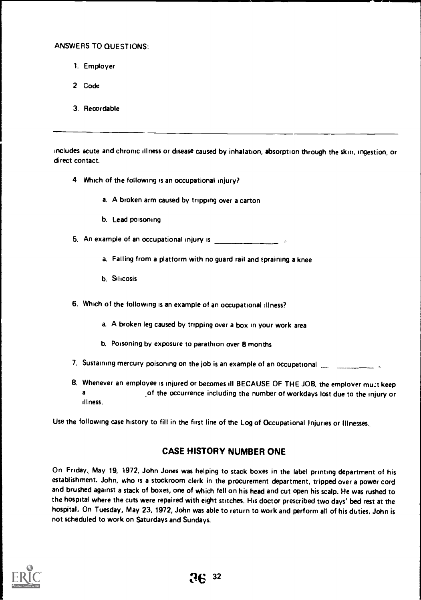- 1. Employer
- 2 Code
- 3. Recordable

Includes acute and chronic illness or disease caused by inhalation, absorption through the skin, ingestion, or direct contact.

- 4 Which of the following is an occupational injury?
	- a. A broken arm caused by tripping over a carton
	- b. Lead poisoning
- 5. An example of an occupational injury is
	- a. Falling from a platform with no guard rail and fpraining a knee
	- b. Silicosis
- 6. Which of the following is an example of an occupational illness?
	- a. A broken leg caused by tripping over a box in your work area
	- b. Poisoning by exposure to parathion over 8 months
- 7. Sustaining mercury poisoning on the job is an example of an occupational \_\_\_\_
- 8. Whenever an employee is injured or becomes ill BECAUSE OF THE JOB, the employer must keep a of the occurrence including the number of workdays lost due to the injury or illness.

Use the following case history to fill in the first line of the Log of Occupational Injuries or Illnesses,

#### CASE HISTORY NUMBER ONE

On Friday, May 19, 1972, John Jones was helping to stack boxes in the label printing department of his establishment. John, who is a stockroom clerk in the procurement department, tripped over a power cord and brushed against a stack of boxes, one of which fell on his head and cut open his scalp. He was rushed to the hospital where the cuts were repaired with eight stitches. His doctor prescribed two days' bed rest at the hospital. On Tuesday, May 23, 1972, John was able to return to work and perform all of his duties. John is not scheduled to work on Saturdays and Sundays.

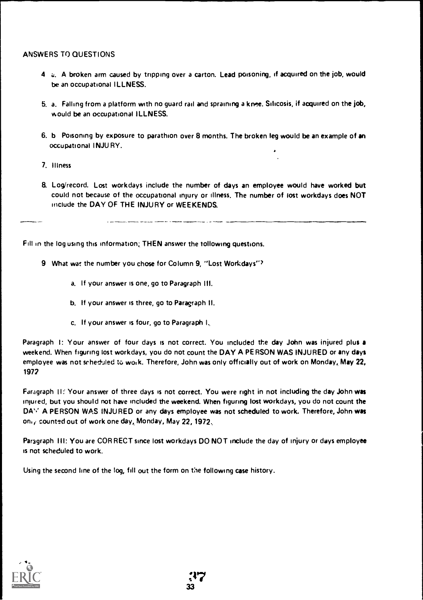- 4 A broken arm caused by tripping over a carton. Lead poisoning, if acquired on the job, would be an occupational ILLNESS.
- 5. a. Falling from a platform with no guard rail and spraining a kme. Silicosis, if acquired on the job, vould be an occupational ILLNESS.
- 6. b Poisoning by exposure to parathion over 8 months. The broken leg would be an example of an occupational INJURY.
- 7. Illness
- a Log/record. Lost workdays include the number of days an employee would have worked but could not because of the occupational injury or illness. The number of lost workdays does NOT include the DAY OF THE INJURY or WEEKENDS.

Fill in the log using this information; THEN answer the following questions.

- 9 What was the number you chose for Column 9, "Lost Workdays"'
	- a. If your answer is one, go to Paragraph III.
	- b. If your answer is three, go to Paragraph II.
	- c. If your answer is four, go to Paragraph I.

Paragraph I: Your answer of four days is not correct. You included the day John was injured plus a weekend. When figuring lost workdays, you do not count the DAY A PERSON WAS INJURED or any days employee was not scheduled to walk. Therefore, John was only officially out of work on Monday, May 22, 1972

Faragraph II: Your answer of three days is not correct. You were right in not including the day John was injured, but you should not have included the weekend. When figuring lost workdays, you do not count the DAY A PERSON WAS INJURED or any days employee was not scheduled to work. Therefore, John was on,. counted out of work one day, Monday, May 22, 1972,

Paragraph III: You are CORRECT since lost workdays DO NOT include the day of injury or days employee is not scheduled to work.

Using the second line of the log, fill out the form on the following case history.

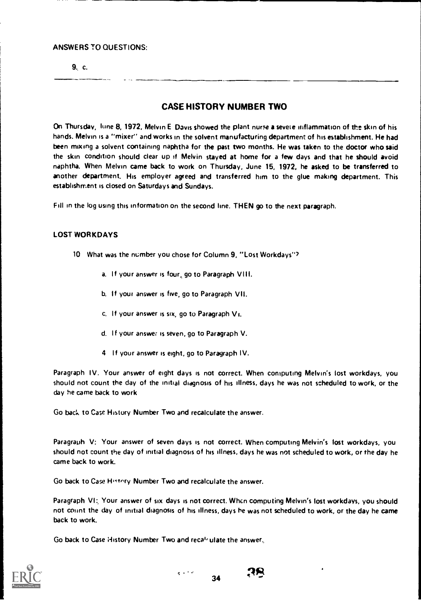9. c.

#### CASE HISTORY NUMBER TWO

On Thursday, lune 8, 1972, Melvin E Davis showed the plant nurse a severe inflammation of the skin of his hands. Melvin is a "mixer" and works in the solvent manufacturing department of his establishment. He had been mixing a solvent containing naphtha for the past two months. He was taken to the doctor who said the skin condition should clear up if Melvin stayed at home for a few days and that he should avoid naphtha. When Melvin came back to work on Thursday, June 15, 1972, he asked to be transferred to another department. His employer agreed and transferred him to the glue making department. This establishment is dosed on Saturdays and Sundays.

Fill in the log using this information on the second line. THEN go to the next paragraph.

#### LOST WORKDAYS

- 10 What was the number you chose for Column 9, "Lost Workdays"'
	- a. If your answer is four, go to Paragraph VIII.
	- b. If your answer is five, go to Paragraph VII.
	- c. If your answer is six, go to Paragraph Vi.
	- d. If your answer is seven, go to Paragraph V.
	- 4 If your answer is eight, go to Paragraph IV.

Paragraph IV. Your answer of eight days is not correct. When computing Melvin's lost workdays, you should not count the day of the initial diagnosis of his illness, days he was not scheduled to work, or the day he came back to work

Go back to Case History Number Two and recalculate the answer.

Paragraph V: Your answer of seven days is not correct. When computing Melvin's lost workdays, you should not count the day of initial diagnosis of his illness, days he was not scheduled to work, or the day he came back to work.

Go back to Case History Number Two and recalculate the answer.

Paragraph VI:, Your answer of six days is not correct. When computing Melvin's lost workdays, you should not count the day of initial diagnosis of his illness, days he was not scheduled to work, or the day he came back to work.

Go back to Case History Number Two and recal-ulate the answer,



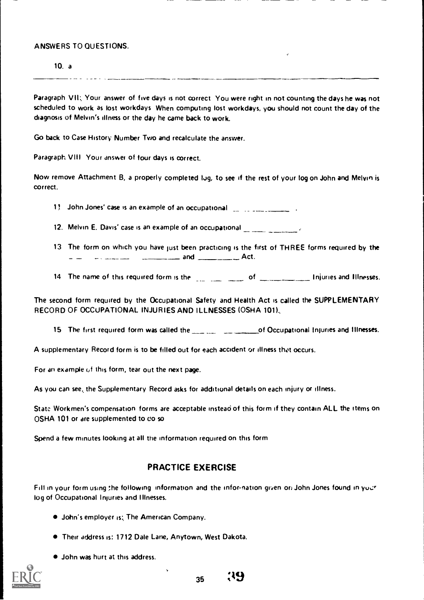10. a

Paragraph VII:, Your answer of five days is not correct You were right in not counting the days he was not scheduled to work as lost workdays When computing lost workdays, you should not count the day of the diagnosis of Melvin's illness or the day he came back to work.

Go back to Case History Number Two and recalculate the answer.

Paragraph VIII Your answer of tour days is correct.

Now remove Attachment B, a properly completed log, to see if the rest of your log on John and Melvin is correct.

11 John Jones' case is an example of an occupational [11]  $\frac{1}{2}$   $\frac{1}{2}$   $\frac{1}{2}$   $\frac{1}{2}$   $\frac{1}{2}$   $\frac{1}{2}$   $\frac{1}{2}$   $\frac{1}{2}$   $\frac{1}{2}$   $\frac{1}{2}$   $\frac{1}{2}$   $\frac{1}{2}$   $\frac{1}{2}$   $\frac{1}{2}$   $\frac{1}{2}$   $\frac{1}{2}$   $\frac{$ 

12. Melvin E. Davis' case is an example of an occupational \_\_\_\_\_\_\_\_\_\_\_\_\_\_\_\_\_\_\_\_\_

- 13 The form on which you have just been practicing is the first of THREE forms required by the and Act.  $\mathbf{L}$  and  $\mathbf{L}$
- 14 The name of this required form is the of an analysis of  $\frac{1}{\sqrt{1-\frac{1}{n}}}\$  injuries and Illnesses.

The second form required by the Occupational Safety and Health Act is called the SUPPLEMENTARY RECORD OF OCCUPATIONAL INJURIES AND ILLNESSES (OSHA 101).

15 The first required form was called the **of Occupational injuries and Illnesses**.

A supplementary Record form is to be filled out for each accident or illness thet occurs.

For an example of this form, tear out the next page.

As you can see, the Supplementary Record asks for additional details on each injury or illness.

Statc Workmen's compensation forms are acceptable instead of this form if they contain ALL the items on OSHA 101 or are supplemented to do so

Spend a few minutes looking at all the information required on this form

#### PRACTICE EXERCISE

Fill in your form using the following information and the information given on John Jones found in your log of Occupational Injuries and Illnesses.

- John's employer is:, The American Company.
- Their address is: 1712 Dale Lane, Anytown, West Dakota.

 $\gamma$ 

John was hurt at this address.



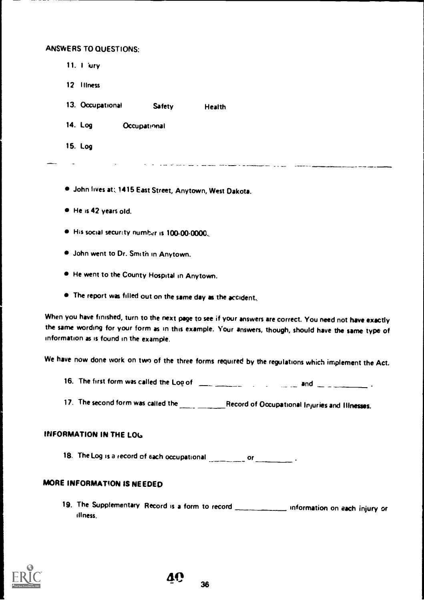|        | 11. I lury               |                          |        |               |  |  |  |  |
|--------|--------------------------|--------------------------|--------|---------------|--|--|--|--|
| 12     | <b>Illness</b>           |                          |        |               |  |  |  |  |
|        | 13. Occupational         |                          | Safety | <b>Health</b> |  |  |  |  |
|        | 14. Log                  | Occupational             |        |               |  |  |  |  |
|        | 15. Log                  |                          |        |               |  |  |  |  |
| $\sim$ | $\overline{\phantom{a}}$ | $\overline{\phantom{a}}$ |        |               |  |  |  |  |

- John lives at:, 1415 East Street, Anytown, West Dakota.
- He is 42 years old.
- . His social security number is 100-00-0000,
- John went to Dr. Smith in Anytown.
- He went to the County Hospital in Anytown.
- The report was filled out on the same day as the accident.

When you have finished, turn to the next page to see if your answers are correct. You need not have exactly the same wording for your form as in this example. Your answers, though, should have the same type of information as is found in the example.

We have now done work on two of the three forms required by the regulations which implement the Act.

- 16. The first form was called the Log of  $\frac{1}{2}$  and  $\frac{1}{2}$  and  $\frac{1}{2}$  and  $\frac{1}{2}$  and  $\frac{1}{2}$
- 17. The second form was called the **Record of Occupational Injuries and Illnesses**.

#### INFORMATION IN THE LOG.

18. The Log is a record of each occupational or or or or or or or or or or or  $\sim$ 

#### MORE INFORMATION IS NEEDED

19. The Supplementary Record is a form to record \_\_\_\_\_\_\_\_\_\_\_\_\_ information on each injury or illness.

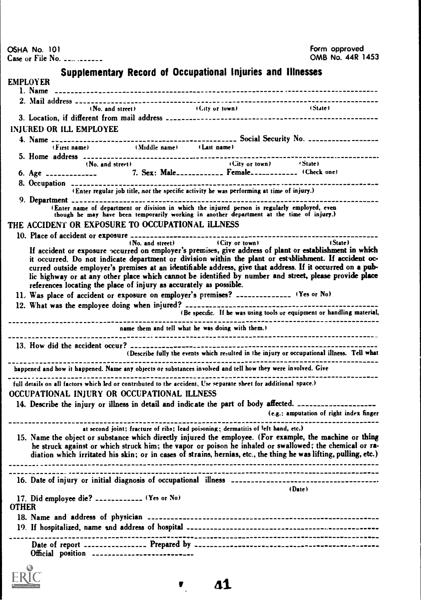| OSHA No. 101 | Form opproved |
|--------------|---------------|
|              |               |

| Supplementary Record of Occupational Injuries and Illnesses<br><b>EMPLOYER</b>                                                                                                                                      |
|---------------------------------------------------------------------------------------------------------------------------------------------------------------------------------------------------------------------|
|                                                                                                                                                                                                                     |
|                                                                                                                                                                                                                     |
|                                                                                                                                                                                                                     |
| (No. and street)<br>(City or town)<br>(State)                                                                                                                                                                       |
|                                                                                                                                                                                                                     |
| INJURED OR ILL EMPLOYEE                                                                                                                                                                                             |
|                                                                                                                                                                                                                     |
| (First name) (Middle name) (Last name)                                                                                                                                                                              |
|                                                                                                                                                                                                                     |
|                                                                                                                                                                                                                     |
|                                                                                                                                                                                                                     |
| (Enter regular job title, not the specific activity he was performing at time of injury.)                                                                                                                           |
| (Enter name of department or division in which the injured person is regularly employed, even                                                                                                                       |
| though he may have been temporarily working in another department at the time of injury.)                                                                                                                           |
| THE ACCIDENT OR EXPOSURE TO OCCUPATIONAL ILLNESS                                                                                                                                                                    |
|                                                                                                                                                                                                                     |
| (No. and street) (City or town)<br><b>Example 1</b> State 1<br>If accident or exposure occurred on employer's premises, give address of plant or establishment in which                                             |
| it occurred. Do not indicate department or division within the plant or establishment. If accident oc-                                                                                                              |
| curred outside employer's premises at an identifiable address, give that address. If it occurred on a pub-                                                                                                          |
| lic highway or at any other place which cannot be identified by number and street, please provide place                                                                                                             |
| references locating the place of injury as accurately as possible.                                                                                                                                                  |
| 11. Was place of accident or exposure on employer's premises? ____________ (Yes or No)                                                                                                                              |
|                                                                                                                                                                                                                     |
| (Be specific. If he was using tools or equipment or handling material,                                                                                                                                              |
| name them and tell what he was doing with them.)                                                                                                                                                                    |
|                                                                                                                                                                                                                     |
| (Describe fully the events which resulted in the injury or occupational illness. Tell what                                                                                                                          |
| happened and how it happened. Name any objects or substances involved and tell how they were involved. Give                                                                                                         |
| <br>full details on all factors which led or contributed to the accident. Use separate sheet for additional space.)                                                                                                 |
| OCCUPATIONAL INJURY OR OCCUPATIONAL ILLNESS                                                                                                                                                                         |
| 14. Describe the injury or illness in detail and indicate the part of body affected. ____________________                                                                                                           |
| (e.g.: amputation of right index finger                                                                                                                                                                             |
|                                                                                                                                                                                                                     |
| at second joint; fracture of ribs; lead poisoning; dermatitis of left hand, etc.)                                                                                                                                   |
| 15. Name the object or substance which directly injured the employee. (For example, the machine or thing<br>he struck against or which struck him; the vapor or poison he inhaled or swallowed; the chemical or ra- |
| diation which irritated his skin; or in cases of strains, hernias, etc., the thing he was lifting, pulling, etc.)                                                                                                   |
|                                                                                                                                                                                                                     |
|                                                                                                                                                                                                                     |
|                                                                                                                                                                                                                     |
| (Date)                                                                                                                                                                                                              |
| 17. Did employee die? ____________ (Yes or No)<br><b>OTHER</b>                                                                                                                                                      |
|                                                                                                                                                                                                                     |
|                                                                                                                                                                                                                     |
|                                                                                                                                                                                                                     |
|                                                                                                                                                                                                                     |
| Official position --------------------------                                                                                                                                                                        |

 $\bullet$   $\bullet$   $\bullet$   $\bullet$ 

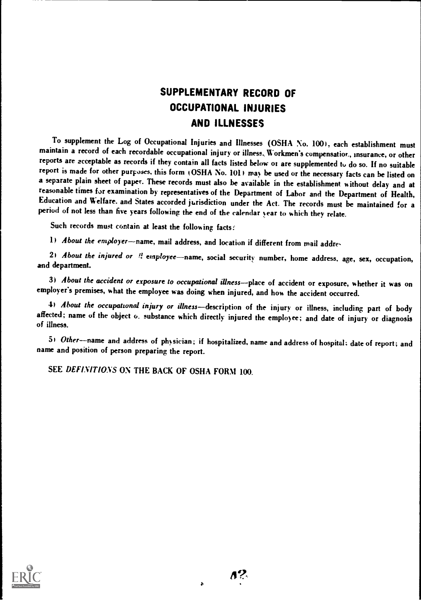## SUPPLEMENTARY RECORD OF OCCUPATIONAL INJURIES AND ILLNESSES

To supplement the Log of Occupational Injuries and Illnesses (OSHA No. 100), each establishment must maintain a record of each recordable occupational injury or illness, Workmen's compensatior., insurance, or other reports are acceptable as records if they contain all facts listed below of are supplemented to do so. If no suitable report is made for other purposes, this form (OSHA No. 101) may be used or the necessary facts can be listed on<br>a separate plain sheet of paper. These records must also be available in the establishment without delay and a reasonable times for examination by representatives of the Department of Labor and the Department of Health, Education and Welfare. and States accorded jurisdiction under the Act. The records must be maintained for a period of not less than five years following the end of the calendar year to which they relate.

Such records must contain at least the following facts:

1) About the employer-name, mail address, and location if different from mail addre-

2) About the injured or  $\mu$  employee-name, social security number, home address, age, sex, occupation, and department.

3) About the accident or exposure to occupational illness-place of accident or exposure, whether it was on employer's premises, what the employee was doing when injured, and how the accident occurred.

4) About the occupational injury or illness-description of the injury or illness, including part of body affected; name of the object o. substance which directly injured the employee; and date of injury or diagnosis<br>of illness.

 $S$ <sup>1</sup> Other---name and address of physician; if hospitalized, name and address of hospital; date of report; and name and position of person preparing the report.

SEE DEFINITIONS ON THE BACK OF OSHA FORM 100.



1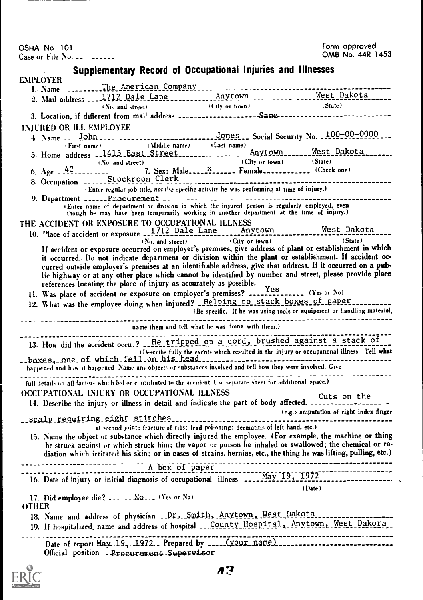OSHA No 101

Case or File No. ... **.....** 

#### Supplementary Record of Occupational Injuries and Illnesses EMPLOYER<br>1. Name The American Company 2. Mail address ... 1712 Dale Lane Anytown<br>(State) West Dakota 2.1.2 (State)  $(N_0,$  and street) 3. Location, if different from mail address Same. INJURED OR ILL EMPLOYEE 4. Name JCohn. Jones Social Security No. 100-00-0000 (First name) ( Middle name) ( Last name)<br>5. Home address -1415 East Street Anytown Anytown West Dakota  $\frac{1}{100}$  (No and street)<br>6. Age  $\frac{42}{12}$  7. Sex: Male  $\frac{1}{200}$  Female  $\frac{1}{200}$  (Check one) 6. Age  $\frac{42}{12}$  7. Sex: Male  $\frac{8}{12}$  Female  $\frac{10}{12}$  (Check one)<br>8. Occupation  $\frac{32}{12}$  Stockroom Clerk (Enter regular job title, not the specific activity he was performing at time of injury.) 9. Department Procurement ( Enter name of department or division in which the injured person is regularly employed, even though he may have been temporarily working in another department at the time of injury.) THE ACCIDENT OR EXPOSURE TO OCCUPATIONAL ILLNESS 10. Place of accident or exposure 1712 Dale Lane Anytown West Dakota<br>10. Place of accident or exposure  $\frac{1712}{(60.000 \text{ Hz})}$  (Site of the Martingham Capacity)  $(No, and street)$ If accident or exposure occurred on employer's premises, give address of plant or establishment in which it occurred: Do not indicate department or division within the plant or establishment. If accident occurred outside employer's premises at an identifiable address, give that address. If it occurred on a pub. lic highway or at any other place which cannot be identified by number and street, please provide place references locating the place of injury as accurately as possible. 11. Was place of accident or exposure on employer's premises? \_\_\_\_\_\_\_\_\_\_\_\_\_ (Yes or No) 12. What was the employee doing when injured? \_Helping to stack boxes of paper .......... (Be specific. If he was using tools or equipment or handling material, name them and tell what he was doing with them.) 13. How did the accident occu.? He tripped on a cord, brushed against a stack of (Describe fully the events which resulted in the injury or occupational illness. Tell what \_ \_ boxes,\_ one\_ oi\_which ffl on\_his\_ACBI happened and how it happened Name any objects or substances involved and tell how they were involved. Give full details on all factors which led or contributed to the accident. Use separate sheet for additional space.) OCCUPATIONAL INJURY OR OCCUPATIONAL ILLNESS Cuts on the 14. Describe the injury or illness in detail and indicate the part of body affected. i (e.g.:. amputation of right index finger ng\_gig ht stitches at second joint: fracture of ribs: lead poisoning: dermatitis of left hand. etc.) 15. Name the object or substance which directly injured the employee. (For example, the machine or thing he struck against or which struck him; the vapor or poison he inhaled or swallowed; the chemical or radiation which irritated his skin; or in cases of strains, hernias, etc., the thing he was lifting, pulling, etc.) A 'box of paper 16. Date of injury or initial diagnosis of occupational illness **May 19, 1972** (Date) 17. Did employee die? 11Q (Yes or No) OTHER<br>18. Name and address of physician \_\_Dr,\_\_Swith,\_Anytown,\_West\_Dakota\_\_\_\_\_\_\_\_\_\_\_\_ 19. If hospitalized, name and address of hospital County Hospital, Anytown, West Dakora Date of report May 19, 1972. Prepared by COLL 2008, Date of report May 19, 2008.



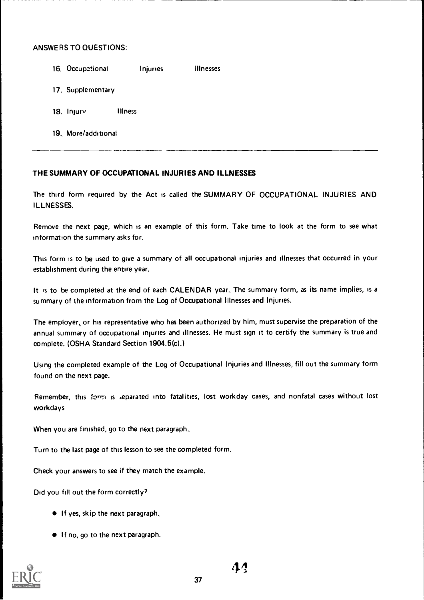- 16. Occupational Injuries Illnesses
- 17. Supplementary
- 18. Injury Illness
- 19, More/additional

#### THE SUMMARY OF OCCUPATIONAL INJURIES AND ILLNESSES

The third form required by the Act is called the SUMMARY OF OCCUPATIONAL INJURIES AND ILLNESSES.

Remove the next page, which is an example of this form. Take time to look at the form to see what information the summary asks for.

This form is to be used to give a summary of all occupational injuries and illnesses that occurred in your establishment during the entire year.

It is to be completed at the end of each CALENDAR year, The summary form, as its name implies, is a summary of the information from the Log of Occupational Illnesses and Injuries.

The employer, or his representative who has been authorized by him, must supervise the preparation of the annual summary of occupational injuries and illnesses. He must sign it to certify the summary is true and complete. (OSHA Standard Section 1904.5(c).)

Using the completed example of the Log of Occupational Injuries and Illnesses, fill out the summary form found on the next page.

Remember, this form is separated into fatalities, lost workday cases, and nonfatal cases without lost workdays

When you are finished, go to the next paragraph.

Turn to the last page of this lesson to see the completed form.

Check your answers to see if they match the example.

Did you fill out the form correctly?

- $\bullet$  If yes, skip the next paragraph.
- If no, go to the next paragraph.

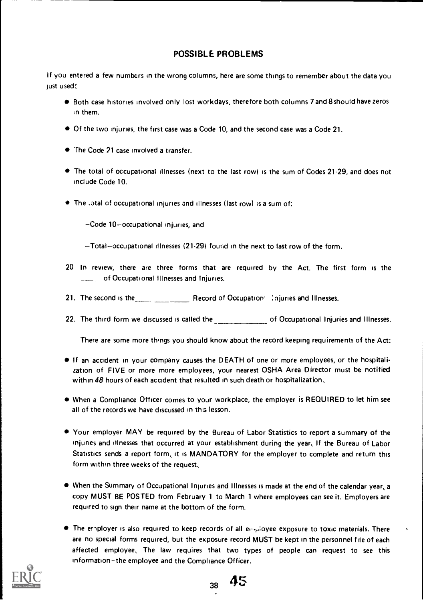#### POSSIBLE PROBLEMS

If you entered a few numbers in the wrong columns, here are some things to remember about the data you just used:

- Both case histories Involved only lost workdays, therefore both columns 7 and 8 should have zeros in them.
- Of the two injuries, the first case was a Code 10, and the second case was a Code 21.
- The Code 21 case involved a transfer.
- The total of occupational illnesses (next to the last row) is the sum of Codes 21-29, and does not include Code 10.
- The .otal of occupational injuries and illnesses (last row) is a sum of:

-Code 10-occupational injuries, and

 $-$ Total $-$ occupational illnesses (21.29) found in the next to last row of the form.

- 20 In review, there are three forms that are required by the Act. The first form is the **EXECUPATIONAL IMAGES** and Injuries.
- 21. The second is the **Record of Occupation** :njuries and Illnesses.
- 22. The third form we discussed is called the of Occupational Injuries and Illnesses.

There are some more things you should know about the record keeping requirements of the Act:

- If an accident in your company causes the DEATH of one or more employees, or the hospitalization of FIVE or more more employees, your nearest OSHA Area Director must be notified within 48 hours of each accident that resulted in such death or hospitalization,
- When a Compliance Officer comes to your workplace, the employer is REQUIRED to let him see all of the records we have discussed in this lesson.
- Your employer MAY be required by the Bureau of Labor Statistics to report a summary of the injuries and illnesses that occurred at your establishment during the year, If the Bureau of Labor Statistics sends a report form, it is MANDATORY for the employer to complete and return this form within three weeks of the request,
- When the Summary of Occupational Injuries and Illnesses is made at the end of the calendar year, a copy MUST BE POSTED from February 1 to March 1 where employees can see it. Employers are required to sign their name at the bottom of the form.
- **The employer is also required to keep records of all employee exposure to toxic materials. There** are no special forms required, but the exposure record MUST be kept in the personnel file of each affected employee, The law requires that two types of people can request to see this information-the employee and the Compliance Officer.

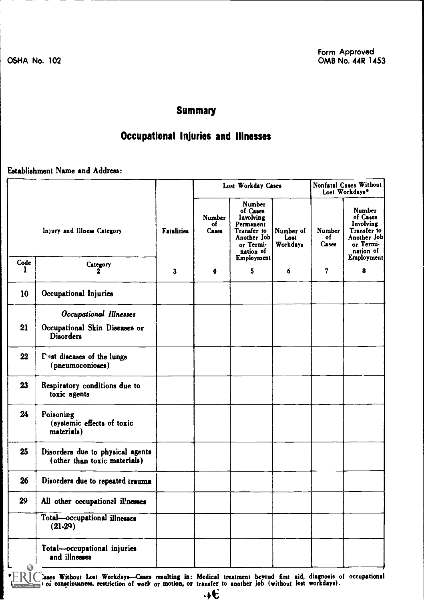#### **Summary**

#### Occupational Injuries and Illnesses

#### Establishment Name and Address:

|            |                                                                  |                   |                              | Lost Workday Cases                                                                                                        |                               |                       | Nonfatal Cases Without<br>Lost Workdays*                                                              |
|------------|------------------------------------------------------------------|-------------------|------------------------------|---------------------------------------------------------------------------------------------------------------------------|-------------------------------|-----------------------|-------------------------------------------------------------------------------------------------------|
|            | Injury and Illness Category                                      | <b>Fatalities</b> | Number<br>of<br><b>Cases</b> | Number<br>of Cases<br>Involving<br>Permanent<br>Transfer to<br>Another Job<br>or Termi.<br>nation of<br><b>Employment</b> | Number of<br>Lost<br>Workdays | Number<br>of<br>Cases | Number<br>of Cases<br>Involving<br>Transfer to<br>Another Job<br>or Termi-<br>nation of<br>Employment |
| Code<br>-1 | Category                                                         | $\mathbf{3}$      | 4                            | 5                                                                                                                         | 6                             | $\overline{7}$        | 8                                                                                                     |
| 10         | Occupational Injuries                                            |                   |                              |                                                                                                                           |                               |                       |                                                                                                       |
|            | Occupational Illnesses                                           |                   |                              |                                                                                                                           |                               |                       |                                                                                                       |
| 21         | Occupational Skin Diseases or<br><b>Disorders</b>                |                   |                              |                                                                                                                           |                               |                       |                                                                                                       |
| 22         | Dust diseases of the lungs<br>(pneumoconioses)                   |                   |                              |                                                                                                                           |                               |                       |                                                                                                       |
| 23         | Respiratory conditions due to<br>toxic agents                    |                   |                              |                                                                                                                           |                               |                       |                                                                                                       |
| 24         | Poisoning<br>(systemic effects of toxic<br>materials)            |                   |                              |                                                                                                                           |                               |                       |                                                                                                       |
| 25         | Disorders due to physical agents<br>(other than toxic materials) |                   |                              |                                                                                                                           |                               |                       |                                                                                                       |
| 26         | Disorders due to repeated irauma                                 |                   |                              |                                                                                                                           |                               |                       |                                                                                                       |
| 29         | All other occupational illnesses                                 |                   |                              |                                                                                                                           |                               |                       |                                                                                                       |
|            | Total-occupational illnesses<br>$(21-29)$                        |                   |                              |                                                                                                                           |                               |                       |                                                                                                       |
| $\bullet$  | Total-occupational injuries<br>and illnesses                     |                   |                              |                                                                                                                           |                               |                       |                                                                                                       |

**ERIC** lases Without Lost Workdays—Cases resulting in: Medical treatment beyond first aid, diagnosis of occupational properties, restriction of work or motion, or transfer to another job (without lost workdays).

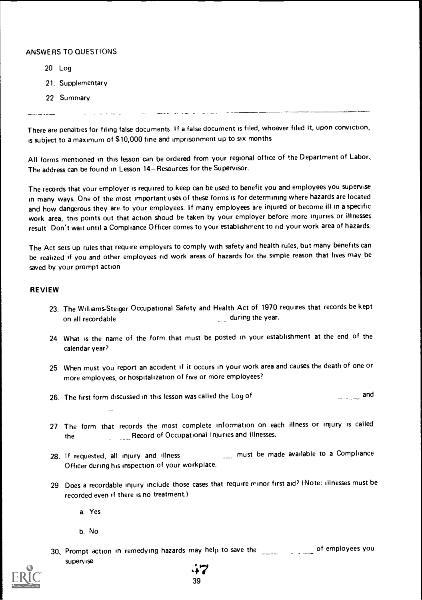- 20 Log
- 21. Supplementary
- 22 Summary

There are penalties for filing false documents If a false document is filed, whoever filed it, upon conviction, is subject to a maximum of S10,000 fine and imprisonment up to six months

All forms mentioned in this lesson can be ordered from your regional office of the Department of Labor, The address can be found in Lesson 14-Resources for the Supervisor.

The records that your employer is required to keep can be used to benefit you and employees you supervise in many ways. One of the most important uses of these forms is for determining where hazards are located and how dangerous they are to your employees. If many employees are injured or become ill in a specific work area, tnis points out that action shoud be taken by your employer before more injuries or illnesses result Don't watt until a Compliance Officer comes to your establishment to rid your work area of hazards.

The Act sets up rules that require employers to comply with safety and health rules, but many benefits can be realized if you and other employees rid work areas of hazards for the simple reason that lives may be saved by your prompt action

#### REVIEW

- 23, The Williams-Steiger Occupational Safety and Health Act of 1970 requires that records be kept on all recordable during the year.
- 24 What is the name of the form that must be posted in your establishment at the end of the calendar year?
- 25 When must you report an accident if it occurs in your work area and causes the death of one or more employees, or hospitalization of five or more employees?
- 26. The first form discussed in this lesson was called the Log of and and
- 27 The form that records the most complete information on each illness or injury is called the Record of Occupational Injuries and Illnesses.
- 28. If requested, all injury and illness must be made available to a Compliance Officer during his inspection of your workplace.
- 29 Does a recordable injury include those cases that require minor first aid? (Note: illnesses must be recorded even if there is no treatment.)
	- a. Yes
	- b. No
- $30$ . Prompt action in remedying hazards may help to save the  $\sim$   $\sim$   $\sim$   $\sim$  of employees you supervise  $\sqrt{7}$



39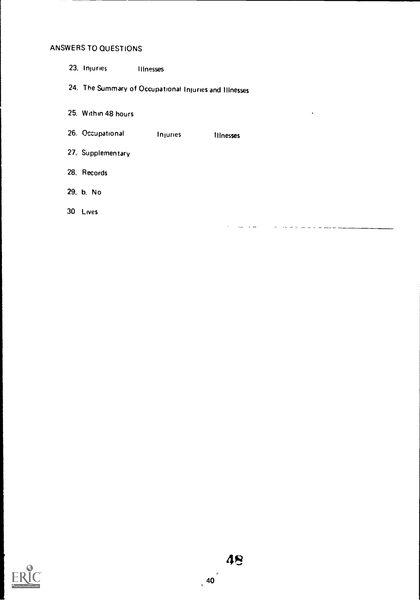- 23. Injuries Illnesses
- 24. The Summary of Occupational Injuries and Illnesses
- 25. Within 48 hours
- 26. Occupational Injuries Illnesses
- 27. Supplementary
- 28. Records
- 29. b. No
- 30 Lives



 $\mathcal{L}^{\pm}$